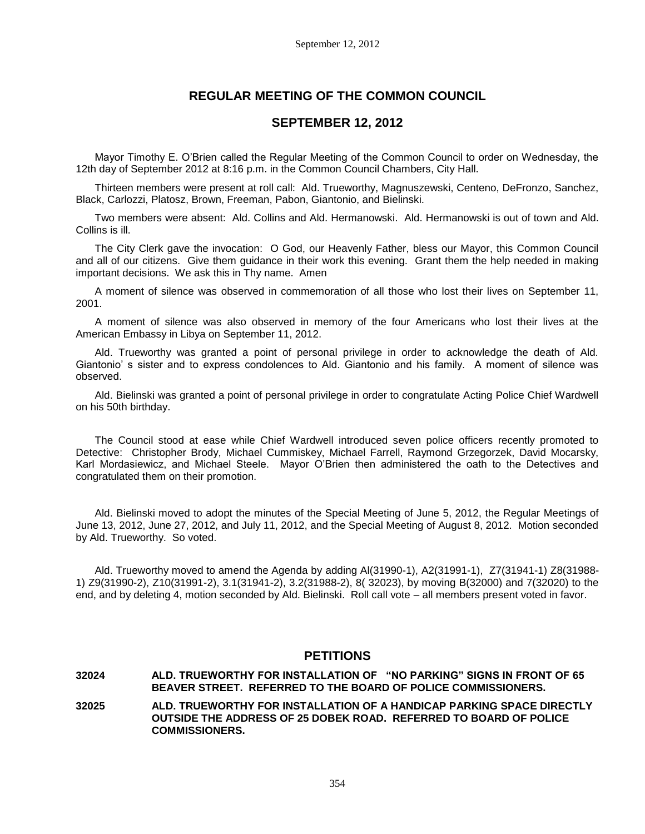# **REGULAR MEETING OF THE COMMON COUNCIL**

# **SEPTEMBER 12, 2012**

Mayor Timothy E. O'Brien called the Regular Meeting of the Common Council to order on Wednesday, the 12th day of September 2012 at 8:16 p.m. in the Common Council Chambers, City Hall.

Thirteen members were present at roll call: Ald. Trueworthy, Magnuszewski, Centeno, DeFronzo, Sanchez, Black, Carlozzi, Platosz, Brown, Freeman, Pabon, Giantonio, and Bielinski.

Two members were absent: Ald. Collins and Ald. Hermanowski. Ald. Hermanowski is out of town and Ald. Collins is ill.

The City Clerk gave the invocation: O God, our Heavenly Father, bless our Mayor, this Common Council and all of our citizens. Give them guidance in their work this evening. Grant them the help needed in making important decisions. We ask this in Thy name. Amen

A moment of silence was observed in commemoration of all those who lost their lives on September 11, 2001.

A moment of silence was also observed in memory of the four Americans who lost their lives at the American Embassy in Libya on September 11, 2012.

Ald. Trueworthy was granted a point of personal privilege in order to acknowledge the death of Ald. Giantonio' s sister and to express condolences to Ald. Giantonio and his family. A moment of silence was observed.

Ald. Bielinski was granted a point of personal privilege in order to congratulate Acting Police Chief Wardwell on his 50th birthday.

The Council stood at ease while Chief Wardwell introduced seven police officers recently promoted to Detective: Christopher Brody, Michael Cummiskey, Michael Farrell, Raymond Grzegorzek, David Mocarsky, Karl Mordasiewicz, and Michael Steele. Mayor O'Brien then administered the oath to the Detectives and congratulated them on their promotion.

Ald. Bielinski moved to adopt the minutes of the Special Meeting of June 5, 2012, the Regular Meetings of June 13, 2012, June 27, 2012, and July 11, 2012, and the Special Meeting of August 8, 2012. Motion seconded by Ald. Trueworthy. So voted.

Ald. Trueworthy moved to amend the Agenda by adding Al(31990-1), A2(31991-1), Z7(31941-1) Z8(31988- 1) Z9(31990-2), Z10(31991-2), 3.1(31941-2), 3.2(31988-2), 8( 32023), by moving B(32000) and 7(32020) to the end, and by deleting 4, motion seconded by Ald. Bielinski. Roll call vote – all members present voted in favor.

# **PETITIONS**

#### **32024 ALD. TRUEWORTHY FOR INSTALLATION OF "NO PARKING" SIGNS IN FRONT OF 65 BEAVER STREET. REFERRED TO THE BOARD OF POLICE COMMISSIONERS.**

**32025 ALD. TRUEWORTHY FOR INSTALLATION OF A HANDICAP PARKING SPACE DIRECTLY OUTSIDE THE ADDRESS OF 25 DOBEK ROAD. REFERRED TO BOARD OF POLICE COMMISSIONERS.**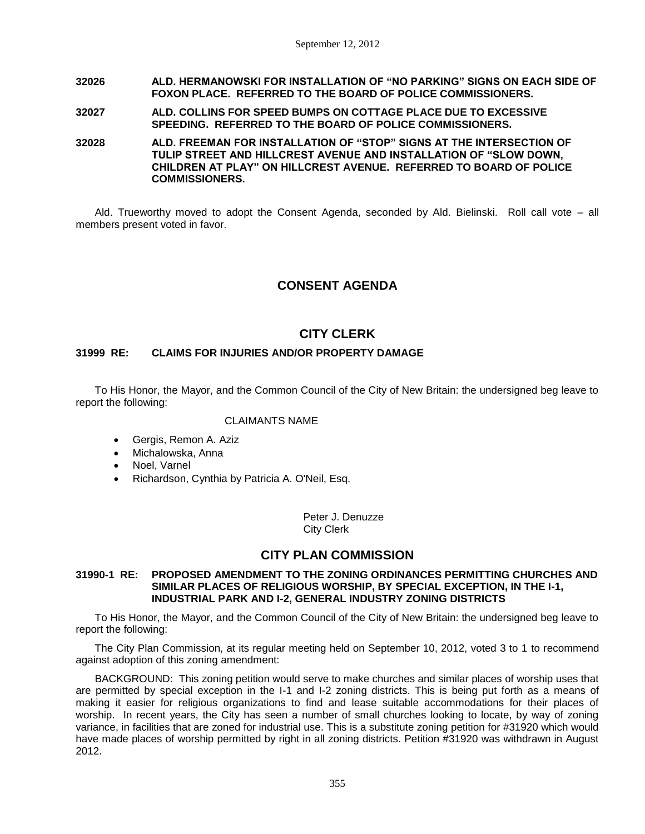# **32026 ALD. HERMANOWSKI FOR INSTALLATION OF "NO PARKING" SIGNS ON EACH SIDE OF FOXON PLACE. REFERRED TO THE BOARD OF POLICE COMMISSIONERS.**

# **32027 ALD. COLLINS FOR SPEED BUMPS ON COTTAGE PLACE DUE TO EXCESSIVE SPEEDING. REFERRED TO THE BOARD OF POLICE COMMISSIONERS.**

**32028 ALD. FREEMAN FOR INSTALLATION OF "STOP" SIGNS AT THE INTERSECTION OF TULIP STREET AND HILLCREST AVENUE AND INSTALLATION OF "SLOW DOWN, CHILDREN AT PLAY" ON HILLCREST AVENUE. REFERRED TO BOARD OF POLICE COMMISSIONERS.**

Ald. Trueworthy moved to adopt the Consent Agenda, seconded by Ald. Bielinski. Roll call vote – all members present voted in favor.

# **CONSENT AGENDA**

# **CITY CLERK**

# **31999 RE: CLAIMS FOR INJURIES AND/OR PROPERTY DAMAGE**

To His Honor, the Mayor, and the Common Council of the City of New Britain: the undersigned beg leave to report the following:

# CLAIMANTS NAME

- Gergis, Remon A. Aziz
- Michalowska, Anna
- Noel, Varnel
- Richardson, Cynthia by Patricia A. O'Neil, Esq.

Peter J. Denuzze City Clerk

# **CITY PLAN COMMISSION**

#### **31990-1 RE: PROPOSED AMENDMENT TO THE ZONING ORDINANCES PERMITTING CHURCHES AND SIMILAR PLACES OF RELIGIOUS WORSHIP, BY SPECIAL EXCEPTION, IN THE I-1, INDUSTRIAL PARK AND I-2, GENERAL INDUSTRY ZONING DISTRICTS**

To His Honor, the Mayor, and the Common Council of the City of New Britain: the undersigned beg leave to report the following:

The City Plan Commission, at its regular meeting held on September 10, 2012, voted 3 to 1 to recommend against adoption of this zoning amendment:

BACKGROUND: This zoning petition would serve to make churches and similar places of worship uses that are permitted by special exception in the I-1 and I-2 zoning districts. This is being put forth as a means of making it easier for religious organizations to find and lease suitable accommodations for their places of worship. In recent years, the City has seen a number of small churches looking to locate, by way of zoning variance, in facilities that are zoned for industrial use. This is a substitute zoning petition for #31920 which would have made places of worship permitted by right in all zoning districts. Petition #31920 was withdrawn in August 2012.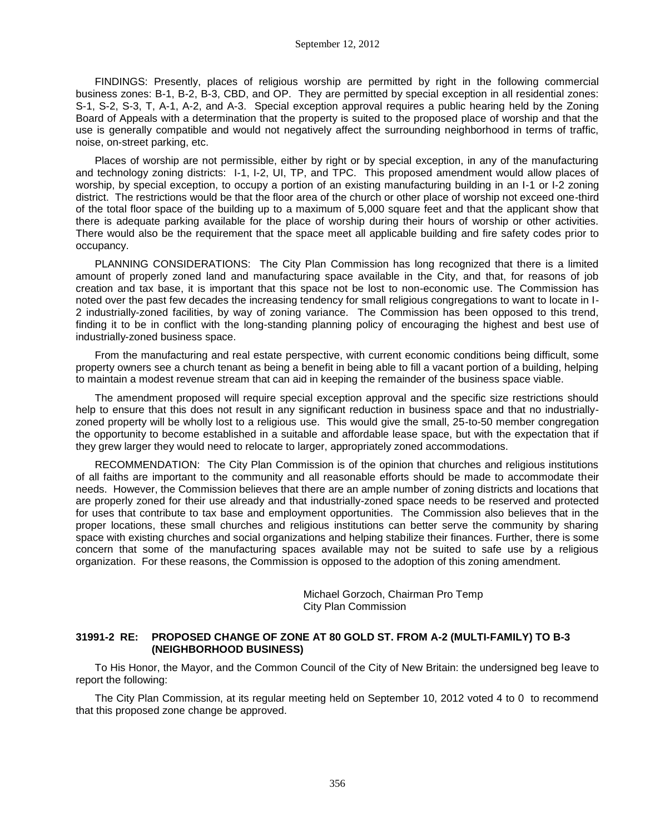FINDINGS: Presently, places of religious worship are permitted by right in the following commercial business zones: B-1, B-2, B-3, CBD, and OP. They are permitted by special exception in all residential zones: S-1, S-2, S-3, T, A-1, A-2, and A-3. Special exception approval requires a public hearing held by the Zoning Board of Appeals with a determination that the property is suited to the proposed place of worship and that the use is generally compatible and would not negatively affect the surrounding neighborhood in terms of traffic, noise, on-street parking, etc.

Places of worship are not permissible, either by right or by special exception, in any of the manufacturing and technology zoning districts: I-1, I-2, UI, TP, and TPC. This proposed amendment would allow places of worship, by special exception, to occupy a portion of an existing manufacturing building in an I-1 or I-2 zoning district. The restrictions would be that the floor area of the church or other place of worship not exceed one-third of the total floor space of the building up to a maximum of 5,000 square feet and that the applicant show that there is adequate parking available for the place of worship during their hours of worship or other activities. There would also be the requirement that the space meet all applicable building and fire safety codes prior to occupancy.

PLANNING CONSIDERATIONS: The City Plan Commission has long recognized that there is a limited amount of properly zoned land and manufacturing space available in the City, and that, for reasons of job creation and tax base, it is important that this space not be lost to non-economic use. The Commission has noted over the past few decades the increasing tendency for small religious congregations to want to locate in I-2 industrially-zoned facilities, by way of zoning variance. The Commission has been opposed to this trend, finding it to be in conflict with the long-standing planning policy of encouraging the highest and best use of industrially-zoned business space.

From the manufacturing and real estate perspective, with current economic conditions being difficult, some property owners see a church tenant as being a benefit in being able to fill a vacant portion of a building, helping to maintain a modest revenue stream that can aid in keeping the remainder of the business space viable.

The amendment proposed will require special exception approval and the specific size restrictions should help to ensure that this does not result in any significant reduction in business space and that no industriallyzoned property will be wholly lost to a religious use. This would give the small, 25-to-50 member congregation the opportunity to become established in a suitable and affordable lease space, but with the expectation that if they grew larger they would need to relocate to larger, appropriately zoned accommodations.

RECOMMENDATION: The City Plan Commission is of the opinion that churches and religious institutions of all faiths are important to the community and all reasonable efforts should be made to accommodate their needs. However, the Commission believes that there are an ample number of zoning districts and locations that are properly zoned for their use already and that industrially-zoned space needs to be reserved and protected for uses that contribute to tax base and employment opportunities. The Commission also believes that in the proper locations, these small churches and religious institutions can better serve the community by sharing space with existing churches and social organizations and helping stabilize their finances. Further, there is some concern that some of the manufacturing spaces available may not be suited to safe use by a religious organization. For these reasons, the Commission is opposed to the adoption of this zoning amendment.

> Michael Gorzoch, Chairman Pro Temp City Plan Commission

## **31991-2 RE: PROPOSED CHANGE OF ZONE AT 80 GOLD ST. FROM A-2 (MULTI-FAMILY) TO B-3 (NEIGHBORHOOD BUSINESS)**

To His Honor, the Mayor, and the Common Council of the City of New Britain: the undersigned beg leave to report the following:

The City Plan Commission, at its regular meeting held on September 10, 2012 voted 4 to 0 to recommend that this proposed zone change be approved.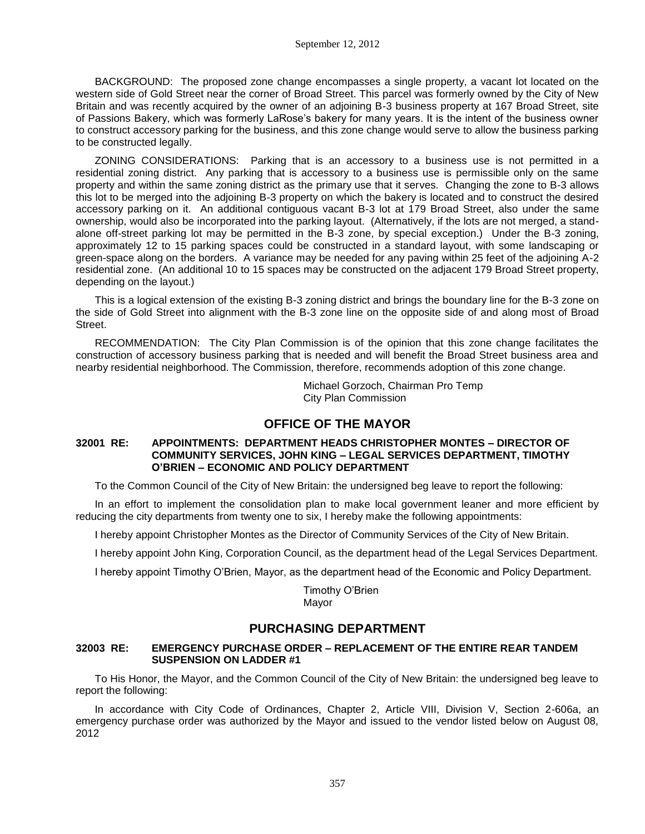BACKGROUND: The proposed zone change encompasses a single property, a vacant lot located on the western side of Gold Street near the corner of Broad Street. This parcel was formerly owned by the City of New Britain and was recently acquired by the owner of an adjoining B-3 business property at 167 Broad Street, site of Passions Bakery, which was formerly LaRose's bakery for many years. It is the intent of the business owner to construct accessory parking for the business, and this zone change would serve to allow the business parking to be constructed legally.

ZONING CONSIDERATIONS: Parking that is an accessory to a business use is not permitted in a residential zoning district. Any parking that is accessory to a business use is permissible only on the same property and within the same zoning district as the primary use that it serves. Changing the zone to B-3 allows this lot to be merged into the adjoining B-3 property on which the bakery is located and to construct the desired accessory parking on it. An additional contiguous vacant B-3 lot at 179 Broad Street, also under the same ownership, would also be incorporated into the parking layout. (Alternatively, if the lots are not merged, a standalone off-street parking lot may be permitted in the B-3 zone, by special exception.) Under the B-3 zoning, approximately 12 to 15 parking spaces could be constructed in a standard layout, with some landscaping or green-space along on the borders. A variance may be needed for any paving within 25 feet of the adjoining A-2 residential zone. (An additional 10 to 15 spaces may be constructed on the adjacent 179 Broad Street property, depending on the layout.)

This is a logical extension of the existing B-3 zoning district and brings the boundary line for the B-3 zone on the side of Gold Street into alignment with the B-3 zone line on the opposite side of and along most of Broad Street.

RECOMMENDATION: The City Plan Commission is of the opinion that this zone change facilitates the construction of accessory business parking that is needed and will benefit the Broad Street business area and nearby residential neighborhood. The Commission, therefore, recommends adoption of this zone change.

> Michael Gorzoch, Chairman Pro Temp City Plan Commission

# **OFFICE OF THE MAYOR**

## **32001 RE: APPOINTMENTS: DEPARTMENT HEADS CHRISTOPHER MONTES – DIRECTOR OF COMMUNITY SERVICES, JOHN KING – LEGAL SERVICES DEPARTMENT, TIMOTHY O'BRIEN – ECONOMIC AND POLICY DEPARTMENT**

To the Common Council of the City of New Britain: the undersigned beg leave to report the following:

In an effort to implement the consolidation plan to make local government leaner and more efficient by reducing the city departments from twenty one to six, I hereby make the following appointments:

I hereby appoint Christopher Montes as the Director of Community Services of the City of New Britain.

I hereby appoint John King, Corporation Council, as the department head of the Legal Services Department.

I hereby appoint Timothy O'Brien, Mayor, as the department head of the Economic and Policy Department.

Timothy O'Brien Mayor

# **PURCHASING DEPARTMENT**

## **32003 RE: EMERGENCY PURCHASE ORDER – REPLACEMENT OF THE ENTIRE REAR TANDEM SUSPENSION ON LADDER #1**

To His Honor, the Mayor, and the Common Council of the City of New Britain: the undersigned beg leave to report the following:

In accordance with City Code of Ordinances, Chapter 2, Article VIII, Division V, Section 2-606a, an emergency purchase order was authorized by the Mayor and issued to the vendor listed below on August 08, 2012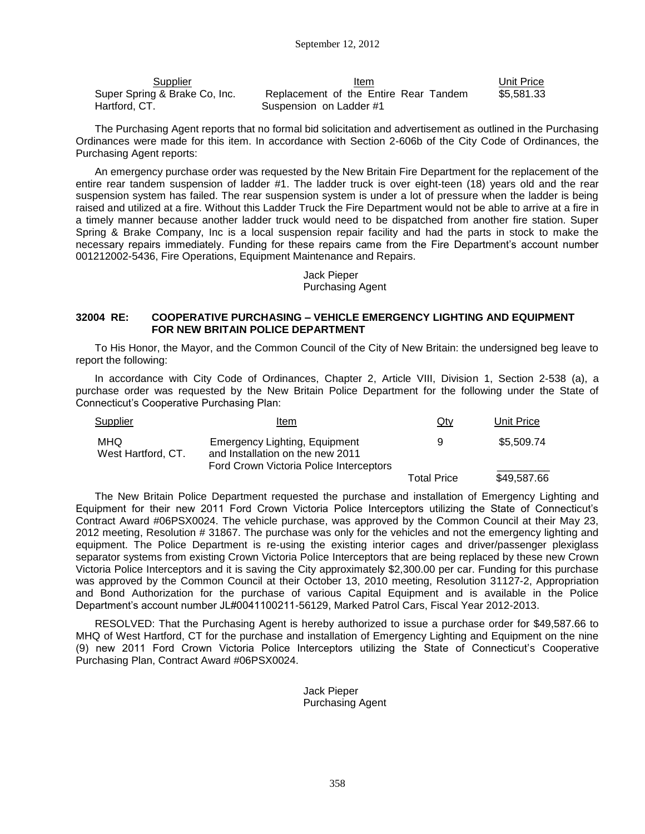| Supplier                      | ltem                                  | Unit Price |
|-------------------------------|---------------------------------------|------------|
| Super Spring & Brake Co, Inc. | Replacement of the Entire Rear Tandem | \$5,581.33 |
| Hartford, CT.                 | Suspension on Ladder #1               |            |

The Purchasing Agent reports that no formal bid solicitation and advertisement as outlined in the Purchasing Ordinances were made for this item. In accordance with Section 2-606b of the City Code of Ordinances, the Purchasing Agent reports:

An emergency purchase order was requested by the New Britain Fire Department for the replacement of the entire rear tandem suspension of ladder #1. The ladder truck is over eight-teen (18) years old and the rear suspension system has failed. The rear suspension system is under a lot of pressure when the ladder is being raised and utilized at a fire. Without this Ladder Truck the Fire Department would not be able to arrive at a fire in a timely manner because another ladder truck would need to be dispatched from another fire station. Super Spring & Brake Company, Inc is a local suspension repair facility and had the parts in stock to make the necessary repairs immediately. Funding for these repairs came from the Fire Department's account number 001212002-5436, Fire Operations, Equipment Maintenance and Repairs.

> Jack Pieper Purchasing Agent

#### **32004 RE: COOPERATIVE PURCHASING – VEHICLE EMERGENCY LIGHTING AND EQUIPMENT FOR NEW BRITAIN POLICE DEPARTMENT**

To His Honor, the Mayor, and the Common Council of the City of New Britain: the undersigned beg leave to report the following:

In accordance with City Code of Ordinances, Chapter 2, Article VIII, Division 1, Section 2-538 (a), a purchase order was requested by the New Britain Police Department for the following under the State of Connecticut's Cooperative Purchasing Plan:

| Supplier                  | Item                                                                                                                | Qty                | Unit Price  |
|---------------------------|---------------------------------------------------------------------------------------------------------------------|--------------------|-------------|
| MHQ<br>West Hartford, CT. | <b>Emergency Lighting, Equipment</b><br>and Installation on the new 2011<br>Ford Crown Victoria Police Interceptors | 9                  | \$5,509.74  |
|                           |                                                                                                                     | <b>Total Price</b> | \$49,587.66 |

The New Britain Police Department requested the purchase and installation of Emergency Lighting and Equipment for their new 2011 Ford Crown Victoria Police Interceptors utilizing the State of Connecticut's Contract Award #06PSX0024. The vehicle purchase, was approved by the Common Council at their May 23, 2012 meeting, Resolution # 31867. The purchase was only for the vehicles and not the emergency lighting and equipment. The Police Department is re-using the existing interior cages and driver/passenger plexiglass separator systems from existing Crown Victoria Police Interceptors that are being replaced by these new Crown Victoria Police Interceptors and it is saving the City approximately \$2,300.00 per car. Funding for this purchase was approved by the Common Council at their October 13, 2010 meeting, Resolution 31127-2, Appropriation and Bond Authorization for the purchase of various Capital Equipment and is available in the Police Department's account number JL#0041100211-56129, Marked Patrol Cars, Fiscal Year 2012-2013.

RESOLVED: That the Purchasing Agent is hereby authorized to issue a purchase order for \$49,587.66 to MHQ of West Hartford, CT for the purchase and installation of Emergency Lighting and Equipment on the nine (9) new 2011 Ford Crown Victoria Police Interceptors utilizing the State of Connecticut's Cooperative Purchasing Plan, Contract Award #06PSX0024.

> Jack Pieper Purchasing Agent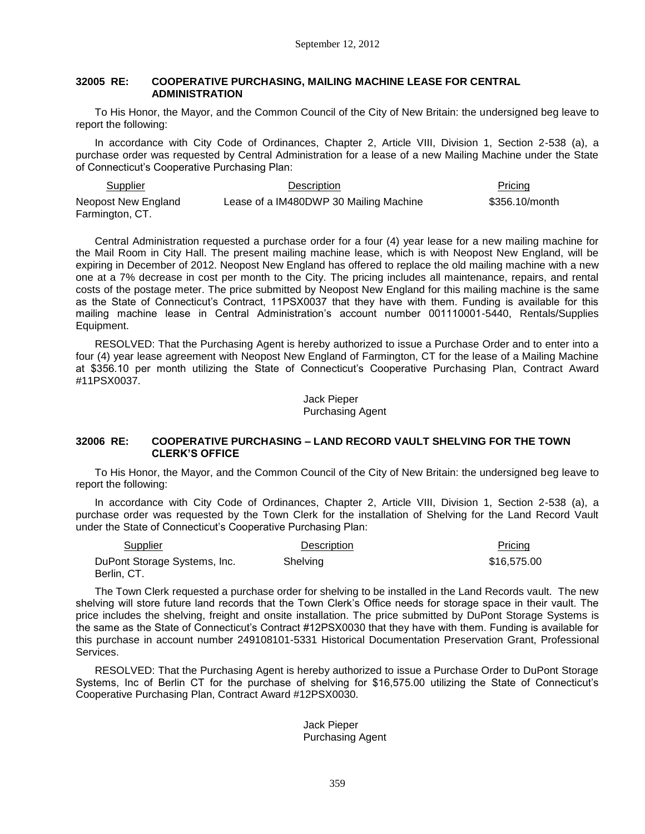## **32005 RE: COOPERATIVE PURCHASING, MAILING MACHINE LEASE FOR CENTRAL ADMINISTRATION**

To His Honor, the Mayor, and the Common Council of the City of New Britain: the undersigned beg leave to report the following:

In accordance with City Code of Ordinances, Chapter 2, Article VIII, Division 1, Section 2-538 (a), a purchase order was requested by Central Administration for a lease of a new Mailing Machine under the State of Connecticut's Cooperative Purchasing Plan:

Supplier **Description** Pricing Pricing Pricing Pricing Pricing Pricing Pricing Pricing Pricing Pricing Pricing Pricing Pricing Pricing Pricing Pricing Pricing Pricing Pricing Pricing Pricing Pricing Pricing Pricing Pricing Neopost New England Farmington, CT. Lease of a IM480DWP 30 Mailing Machine \$356.10/month

Central Administration requested a purchase order for a four (4) year lease for a new mailing machine for the Mail Room in City Hall. The present mailing machine lease, which is with Neopost New England, will be expiring in December of 2012. Neopost New England has offered to replace the old mailing machine with a new one at a 7% decrease in cost per month to the City. The pricing includes all maintenance, repairs, and rental costs of the postage meter. The price submitted by Neopost New England for this mailing machine is the same as the State of Connecticut's Contract, 11PSX0037 that they have with them. Funding is available for this mailing machine lease in Central Administration's account number 001110001-5440, Rentals/Supplies Equipment.

RESOLVED: That the Purchasing Agent is hereby authorized to issue a Purchase Order and to enter into a four (4) year lease agreement with Neopost New England of Farmington, CT for the lease of a Mailing Machine at \$356.10 per month utilizing the State of Connecticut's Cooperative Purchasing Plan, Contract Award #11PSX0037.

> Jack Pieper Purchasing Agent

#### **32006 RE: COOPERATIVE PURCHASING – LAND RECORD VAULT SHELVING FOR THE TOWN CLERK'S OFFICE**

To His Honor, the Mayor, and the Common Council of the City of New Britain: the undersigned beg leave to report the following:

In accordance with City Code of Ordinances, Chapter 2, Article VIII, Division 1, Section 2-538 (a), a purchase order was requested by the Town Clerk for the installation of Shelving for the Land Record Vault under the State of Connecticut's Cooperative Purchasing Plan:

| Supplier                                    | <b>Description</b> | Pricing     |
|---------------------------------------------|--------------------|-------------|
| DuPont Storage Systems, Inc.<br>Berlin, CT. | <b>Shelving</b>    | \$16,575.00 |

The Town Clerk requested a purchase order for shelving to be installed in the Land Records vault. The new shelving will store future land records that the Town Clerk's Office needs for storage space in their vault. The price includes the shelving, freight and onsite installation. The price submitted by DuPont Storage Systems is the same as the State of Connecticut's Contract #12PSX0030 that they have with them. Funding is available for this purchase in account number 249108101-5331 Historical Documentation Preservation Grant, Professional Services.

RESOLVED: That the Purchasing Agent is hereby authorized to issue a Purchase Order to DuPont Storage Systems, Inc of Berlin CT for the purchase of shelving for \$16,575.00 utilizing the State of Connecticut's Cooperative Purchasing Plan, Contract Award #12PSX0030.

> Jack Pieper Purchasing Agent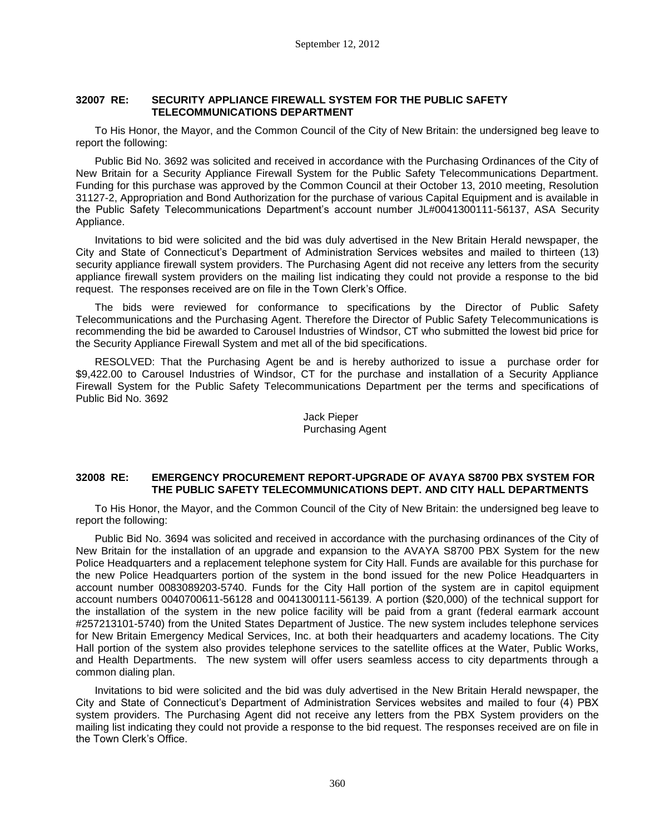# **32007 RE: SECURITY APPLIANCE FIREWALL SYSTEM FOR THE PUBLIC SAFETY TELECOMMUNICATIONS DEPARTMENT**

To His Honor, the Mayor, and the Common Council of the City of New Britain: the undersigned beg leave to report the following:

Public Bid No. 3692 was solicited and received in accordance with the Purchasing Ordinances of the City of New Britain for a Security Appliance Firewall System for the Public Safety Telecommunications Department. Funding for this purchase was approved by the Common Council at their October 13, 2010 meeting, Resolution 31127-2, Appropriation and Bond Authorization for the purchase of various Capital Equipment and is available in the Public Safety Telecommunications Department's account number JL#0041300111-56137, ASA Security Appliance.

Invitations to bid were solicited and the bid was duly advertised in the New Britain Herald newspaper, the City and State of Connecticut's Department of Administration Services websites and mailed to thirteen (13) security appliance firewall system providers. The Purchasing Agent did not receive any letters from the security appliance firewall system providers on the mailing list indicating they could not provide a response to the bid request. The responses received are on file in the Town Clerk's Office.

The bids were reviewed for conformance to specifications by the Director of Public Safety Telecommunications and the Purchasing Agent. Therefore the Director of Public Safety Telecommunications is recommending the bid be awarded to Carousel Industries of Windsor, CT who submitted the lowest bid price for the Security Appliance Firewall System and met all of the bid specifications.

RESOLVED: That the Purchasing Agent be and is hereby authorized to issue a purchase order for \$9,422.00 to Carousel Industries of Windsor, CT for the purchase and installation of a Security Appliance Firewall System for the Public Safety Telecommunications Department per the terms and specifications of Public Bid No. 3692

# Jack Pieper Purchasing Agent

## **32008 RE: EMERGENCY PROCUREMENT REPORT-UPGRADE OF AVAYA S8700 PBX SYSTEM FOR THE PUBLIC SAFETY TELECOMMUNICATIONS DEPT. AND CITY HALL DEPARTMENTS**

To His Honor, the Mayor, and the Common Council of the City of New Britain: the undersigned beg leave to report the following:

Public Bid No. 3694 was solicited and received in accordance with the purchasing ordinances of the City of New Britain for the installation of an upgrade and expansion to the AVAYA S8700 PBX System for the new Police Headquarters and a replacement telephone system for City Hall. Funds are available for this purchase for the new Police Headquarters portion of the system in the bond issued for the new Police Headquarters in account number 0083089203-5740. Funds for the City Hall portion of the system are in capitol equipment account numbers 0040700611-56128 and 0041300111-56139. A portion (\$20,000) of the technical support for the installation of the system in the new police facility will be paid from a grant (federal earmark account #257213101-5740) from the United States Department of Justice. The new system includes telephone services for New Britain Emergency Medical Services, Inc. at both their headquarters and academy locations. The City Hall portion of the system also provides telephone services to the satellite offices at the Water, Public Works, and Health Departments. The new system will offer users seamless access to city departments through a common dialing plan.

Invitations to bid were solicited and the bid was duly advertised in the New Britain Herald newspaper, the City and State of Connecticut's Department of Administration Services websites and mailed to four (4) PBX system providers. The Purchasing Agent did not receive any letters from the PBX System providers on the mailing list indicating they could not provide a response to the bid request. The responses received are on file in the Town Clerk's Office.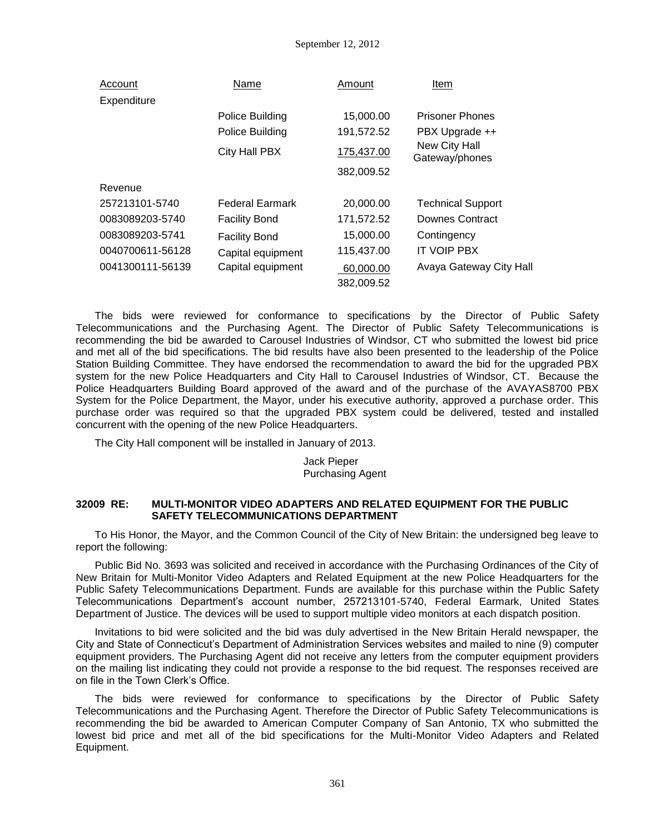| Account          | Name                   | Amount                  | Item                            |
|------------------|------------------------|-------------------------|---------------------------------|
| Expenditure      |                        |                         |                                 |
|                  | Police Building        | 15,000.00               | <b>Prisoner Phones</b>          |
|                  | Police Building        | 191,572.52              | PBX Upgrade ++                  |
|                  | City Hall PBX          | 175,437.00              | New City Hall<br>Gateway/phones |
|                  |                        | 382,009.52              |                                 |
| Revenue          |                        |                         |                                 |
| 257213101-5740   | <b>Federal Earmark</b> | 20,000.00               | <b>Technical Support</b>        |
| 0083089203-5740  | <b>Facility Bond</b>   | 171,572.52              | Downes Contract                 |
| 0083089203-5741  | <b>Facility Bond</b>   | 15,000.00               | Contingency                     |
| 0040700611-56128 | Capital equipment      | 115,437.00              | <b>IT VOIP PBX</b>              |
| 0041300111-56139 | Capital equipment      | 60,000.00<br>382,009.52 | Avaya Gateway City Hall         |

The bids were reviewed for conformance to specifications by the Director of Public Safety Telecommunications and the Purchasing Agent. The Director of Public Safety Telecommunications is recommending the bid be awarded to Carousel Industries of Windsor, CT who submitted the lowest bid price and met all of the bid specifications. The bid results have also been presented to the leadership of the Police Station Building Committee. They have endorsed the recommendation to award the bid for the upgraded PBX system for the new Police Headquarters and City Hall to Carousel Industries of Windsor, CT. Because the Police Headquarters Building Board approved of the award and of the purchase of the AVAYAS8700 PBX System for the Police Department, the Mayor, under his executive authority, approved a purchase order. This purchase order was required so that the upgraded PBX system could be delivered, tested and installed concurrent with the opening of the new Police Headquarters.

The City Hall component will be installed in January of 2013.

Jack Pieper Purchasing Agent

## **32009 RE: MULTI-MONITOR VIDEO ADAPTERS AND RELATED EQUIPMENT FOR THE PUBLIC SAFETY TELECOMMUNICATIONS DEPARTMENT**

To His Honor, the Mayor, and the Common Council of the City of New Britain: the undersigned beg leave to report the following:

Public Bid No. 3693 was solicited and received in accordance with the Purchasing Ordinances of the City of New Britain for Multi-Monitor Video Adapters and Related Equipment at the new Police Headquarters for the Public Safety Telecommunications Department. Funds are available for this purchase within the Public Safety Telecommunications Department's account number, 257213101-5740, Federal Earmark, United States Department of Justice. The devices will be used to support multiple video monitors at each dispatch position.

Invitations to bid were solicited and the bid was duly advertised in the New Britain Herald newspaper, the City and State of Connecticut's Department of Administration Services websites and mailed to nine (9) computer equipment providers. The Purchasing Agent did not receive any letters from the computer equipment providers on the mailing list indicating they could not provide a response to the bid request. The responses received are on file in the Town Clerk's Office.

The bids were reviewed for conformance to specifications by the Director of Public Safety Telecommunications and the Purchasing Agent. Therefore the Director of Public Safety Telecommunications is recommending the bid be awarded to American Computer Company of San Antonio, TX who submitted the lowest bid price and met all of the bid specifications for the Multi-Monitor Video Adapters and Related Equipment.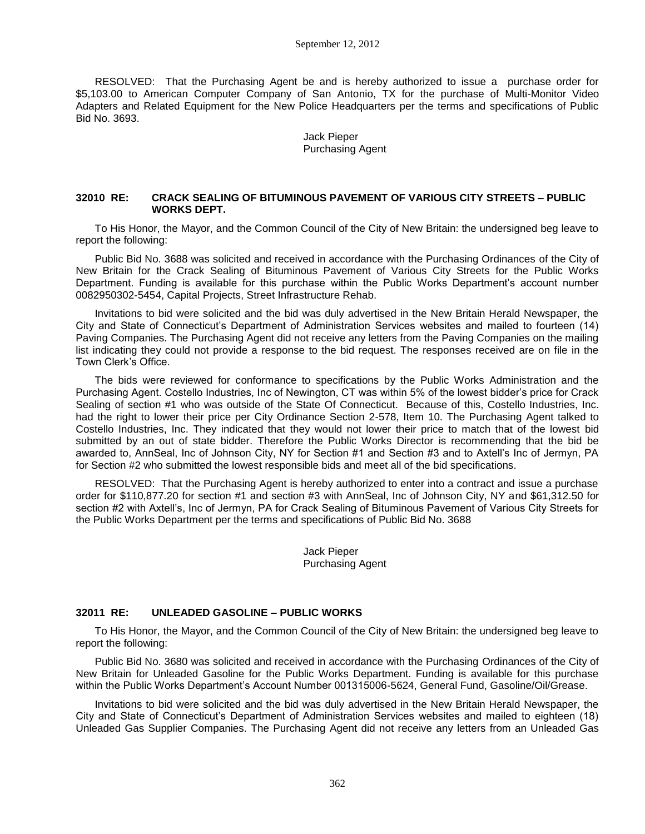#### September 12, 2012

RESOLVED: That the Purchasing Agent be and is hereby authorized to issue a purchase order for \$5,103.00 to American Computer Company of San Antonio, TX for the purchase of Multi-Monitor Video Adapters and Related Equipment for the New Police Headquarters per the terms and specifications of Public Bid No. 3693.

> Jack Pieper Purchasing Agent

#### **32010 RE: CRACK SEALING OF BITUMINOUS PAVEMENT OF VARIOUS CITY STREETS – PUBLIC WORKS DEPT.**

To His Honor, the Mayor, and the Common Council of the City of New Britain: the undersigned beg leave to report the following:

Public Bid No. 3688 was solicited and received in accordance with the Purchasing Ordinances of the City of New Britain for the Crack Sealing of Bituminous Pavement of Various City Streets for the Public Works Department. Funding is available for this purchase within the Public Works Department's account number 0082950302-5454, Capital Projects, Street Infrastructure Rehab.

Invitations to bid were solicited and the bid was duly advertised in the New Britain Herald Newspaper, the City and State of Connecticut's Department of Administration Services websites and mailed to fourteen (14) Paving Companies. The Purchasing Agent did not receive any letters from the Paving Companies on the mailing list indicating they could not provide a response to the bid request. The responses received are on file in the Town Clerk's Office.

The bids were reviewed for conformance to specifications by the Public Works Administration and the Purchasing Agent. Costello Industries, Inc of Newington, CT was within 5% of the lowest bidder's price for Crack Sealing of section #1 who was outside of the State Of Connecticut. Because of this, Costello Industries, Inc. had the right to lower their price per City Ordinance Section 2-578, Item 10. The Purchasing Agent talked to Costello Industries, Inc. They indicated that they would not lower their price to match that of the lowest bid submitted by an out of state bidder. Therefore the Public Works Director is recommending that the bid be awarded to, AnnSeal, Inc of Johnson City, NY for Section #1 and Section #3 and to Axtell's Inc of Jermyn, PA for Section #2 who submitted the lowest responsible bids and meet all of the bid specifications.

RESOLVED: That the Purchasing Agent is hereby authorized to enter into a contract and issue a purchase order for \$110,877.20 for section #1 and section #3 with AnnSeal, Inc of Johnson City, NY and \$61,312.50 for section #2 with Axtell's, Inc of Jermyn, PA for Crack Sealing of Bituminous Pavement of Various City Streets for the Public Works Department per the terms and specifications of Public Bid No. 3688

> Jack Pieper Purchasing Agent

#### **32011 RE: UNLEADED GASOLINE – PUBLIC WORKS**

To His Honor, the Mayor, and the Common Council of the City of New Britain: the undersigned beg leave to report the following:

Public Bid No. 3680 was solicited and received in accordance with the Purchasing Ordinances of the City of New Britain for Unleaded Gasoline for the Public Works Department. Funding is available for this purchase within the Public Works Department's Account Number 001315006-5624, General Fund, Gasoline/Oil/Grease.

Invitations to bid were solicited and the bid was duly advertised in the New Britain Herald Newspaper, the City and State of Connecticut's Department of Administration Services websites and mailed to eighteen (18) Unleaded Gas Supplier Companies. The Purchasing Agent did not receive any letters from an Unleaded Gas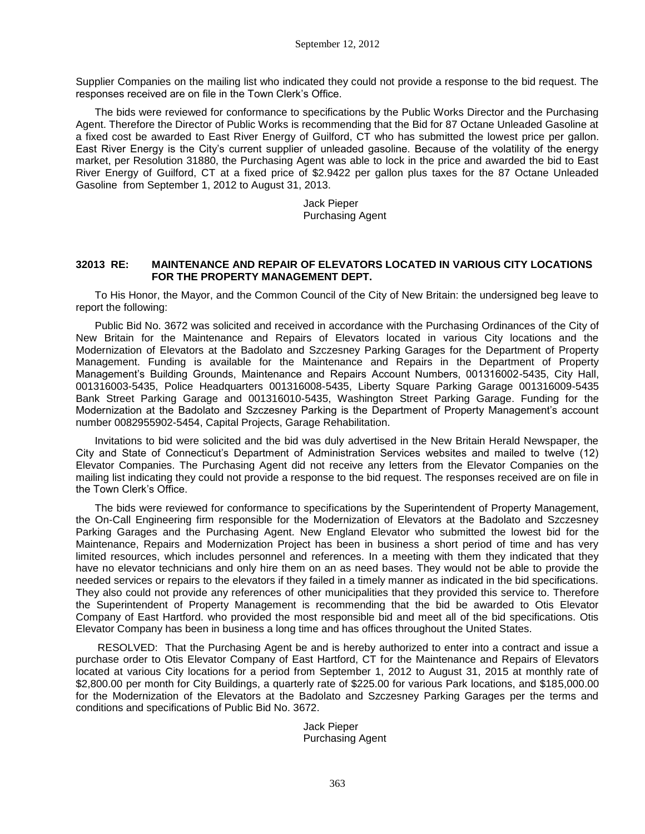Supplier Companies on the mailing list who indicated they could not provide a response to the bid request. The responses received are on file in the Town Clerk's Office.

The bids were reviewed for conformance to specifications by the Public Works Director and the Purchasing Agent. Therefore the Director of Public Works is recommending that the Bid for 87 Octane Unleaded Gasoline at a fixed cost be awarded to East River Energy of Guilford, CT who has submitted the lowest price per gallon. East River Energy is the City's current supplier of unleaded gasoline. Because of the volatility of the energy market, per Resolution 31880, the Purchasing Agent was able to lock in the price and awarded the bid to East River Energy of Guilford, CT at a fixed price of \$2.9422 per gallon plus taxes for the 87 Octane Unleaded Gasoline from September 1, 2012 to August 31, 2013.

> Jack Pieper Purchasing Agent

#### **32013 RE: MAINTENANCE AND REPAIR OF ELEVATORS LOCATED IN VARIOUS CITY LOCATIONS FOR THE PROPERTY MANAGEMENT DEPT.**

To His Honor, the Mayor, and the Common Council of the City of New Britain: the undersigned beg leave to report the following:

Public Bid No. 3672 was solicited and received in accordance with the Purchasing Ordinances of the City of New Britain for the Maintenance and Repairs of Elevators located in various City locations and the Modernization of Elevators at the Badolato and Szczesney Parking Garages for the Department of Property Management. Funding is available for the Maintenance and Repairs in the Department of Property Management's Building Grounds, Maintenance and Repairs Account Numbers, 001316002-5435, City Hall, 001316003-5435, Police Headquarters 001316008-5435, Liberty Square Parking Garage 001316009-5435 Bank Street Parking Garage and 001316010-5435, Washington Street Parking Garage. Funding for the Modernization at the Badolato and Szczesney Parking is the Department of Property Management's account number 0082955902-5454, Capital Projects, Garage Rehabilitation.

Invitations to bid were solicited and the bid was duly advertised in the New Britain Herald Newspaper, the City and State of Connecticut's Department of Administration Services websites and mailed to twelve (12) Elevator Companies. The Purchasing Agent did not receive any letters from the Elevator Companies on the mailing list indicating they could not provide a response to the bid request. The responses received are on file in the Town Clerk's Office.

The bids were reviewed for conformance to specifications by the Superintendent of Property Management, the On-Call Engineering firm responsible for the Modernization of Elevators at the Badolato and Szczesney Parking Garages and the Purchasing Agent. New England Elevator who submitted the lowest bid for the Maintenance, Repairs and Modernization Project has been in business a short period of time and has very limited resources, which includes personnel and references. In a meeting with them they indicated that they have no elevator technicians and only hire them on an as need bases. They would not be able to provide the needed services or repairs to the elevators if they failed in a timely manner as indicated in the bid specifications. They also could not provide any references of other municipalities that they provided this service to. Therefore the Superintendent of Property Management is recommending that the bid be awarded to Otis Elevator Company of East Hartford. who provided the most responsible bid and meet all of the bid specifications. Otis Elevator Company has been in business a long time and has offices throughout the United States.

RESOLVED: That the Purchasing Agent be and is hereby authorized to enter into a contract and issue a purchase order to Otis Elevator Company of East Hartford, CT for the Maintenance and Repairs of Elevators located at various City locations for a period from September 1, 2012 to August 31, 2015 at monthly rate of \$2,800.00 per month for City Buildings, a quarterly rate of \$225.00 for various Park locations, and \$185,000.00 for the Modernization of the Elevators at the Badolato and Szczesney Parking Garages per the terms and conditions and specifications of Public Bid No. 3672.

> Jack Pieper Purchasing Agent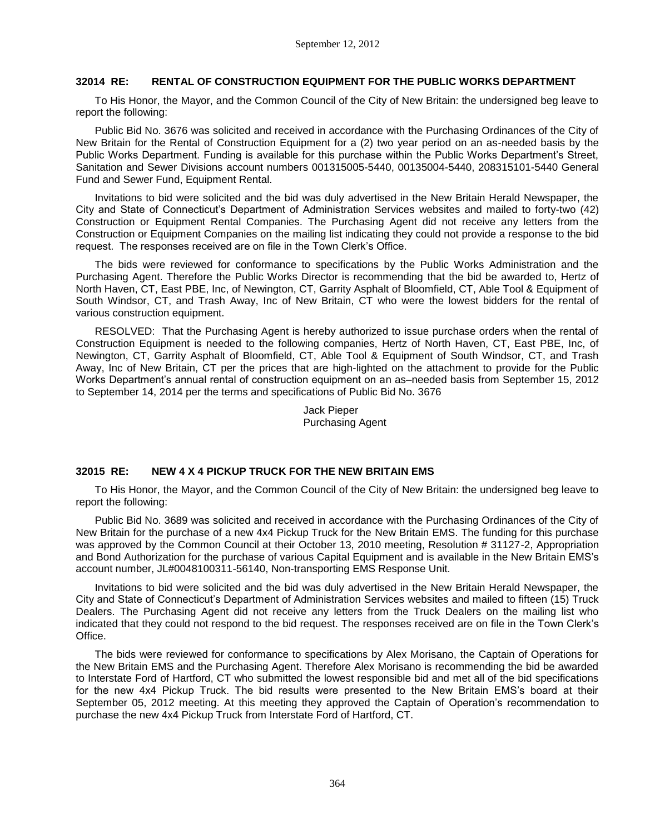# **32014 RE: RENTAL OF CONSTRUCTION EQUIPMENT FOR THE PUBLIC WORKS DEPARTMENT**

To His Honor, the Mayor, and the Common Council of the City of New Britain: the undersigned beg leave to report the following:

Public Bid No. 3676 was solicited and received in accordance with the Purchasing Ordinances of the City of New Britain for the Rental of Construction Equipment for a (2) two year period on an as-needed basis by the Public Works Department. Funding is available for this purchase within the Public Works Department's Street, Sanitation and Sewer Divisions account numbers 001315005-5440, 00135004-5440, 208315101-5440 General Fund and Sewer Fund, Equipment Rental.

Invitations to bid were solicited and the bid was duly advertised in the New Britain Herald Newspaper, the City and State of Connecticut's Department of Administration Services websites and mailed to forty-two (42) Construction or Equipment Rental Companies. The Purchasing Agent did not receive any letters from the Construction or Equipment Companies on the mailing list indicating they could not provide a response to the bid request. The responses received are on file in the Town Clerk's Office.

The bids were reviewed for conformance to specifications by the Public Works Administration and the Purchasing Agent. Therefore the Public Works Director is recommending that the bid be awarded to, Hertz of North Haven, CT, East PBE, Inc, of Newington, CT, Garrity Asphalt of Bloomfield, CT, Able Tool & Equipment of South Windsor, CT, and Trash Away, Inc of New Britain, CT who were the lowest bidders for the rental of various construction equipment.

RESOLVED: That the Purchasing Agent is hereby authorized to issue purchase orders when the rental of Construction Equipment is needed to the following companies, Hertz of North Haven, CT, East PBE, Inc, of Newington, CT, Garrity Asphalt of Bloomfield, CT, Able Tool & Equipment of South Windsor, CT, and Trash Away, Inc of New Britain, CT per the prices that are high-lighted on the attachment to provide for the Public Works Department's annual rental of construction equipment on an as–needed basis from September 15, 2012 to September 14, 2014 per the terms and specifications of Public Bid No. 3676

> Jack Pieper Purchasing Agent

# **32015 RE: NEW 4 X 4 PICKUP TRUCK FOR THE NEW BRITAIN EMS**

To His Honor, the Mayor, and the Common Council of the City of New Britain: the undersigned beg leave to report the following:

Public Bid No. 3689 was solicited and received in accordance with the Purchasing Ordinances of the City of New Britain for the purchase of a new 4x4 Pickup Truck for the New Britain EMS. The funding for this purchase was approved by the Common Council at their October 13, 2010 meeting, Resolution # 31127-2, Appropriation and Bond Authorization for the purchase of various Capital Equipment and is available in the New Britain EMS's account number, JL#0048100311-56140, Non-transporting EMS Response Unit.

Invitations to bid were solicited and the bid was duly advertised in the New Britain Herald Newspaper, the City and State of Connecticut's Department of Administration Services websites and mailed to fifteen (15) Truck Dealers. The Purchasing Agent did not receive any letters from the Truck Dealers on the mailing list who indicated that they could not respond to the bid request. The responses received are on file in the Town Clerk's Office.

The bids were reviewed for conformance to specifications by Alex Morisano, the Captain of Operations for the New Britain EMS and the Purchasing Agent. Therefore Alex Morisano is recommending the bid be awarded to Interstate Ford of Hartford, CT who submitted the lowest responsible bid and met all of the bid specifications for the new 4x4 Pickup Truck. The bid results were presented to the New Britain EMS's board at their September 05, 2012 meeting. At this meeting they approved the Captain of Operation's recommendation to purchase the new 4x4 Pickup Truck from Interstate Ford of Hartford, CT.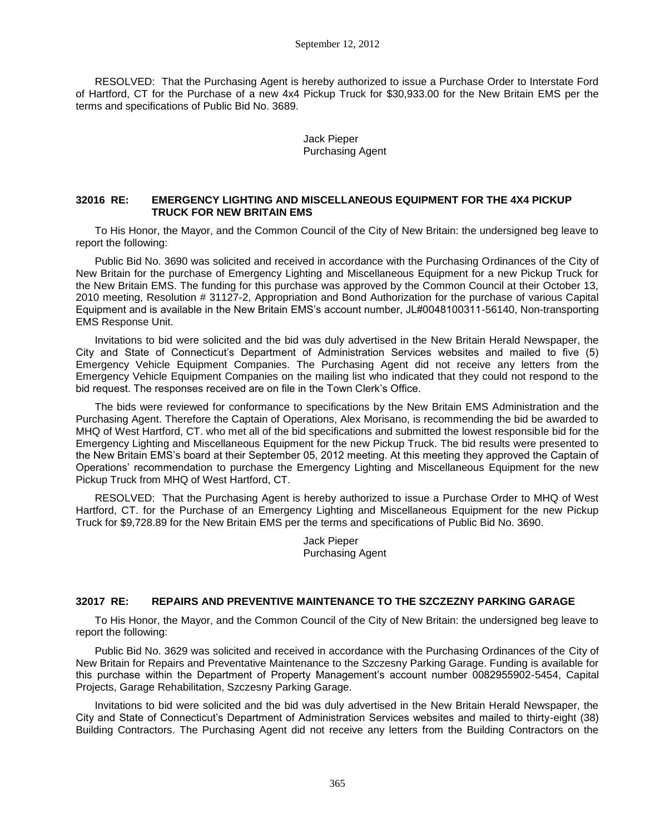RESOLVED: That the Purchasing Agent is hereby authorized to issue a Purchase Order to Interstate Ford of Hartford, CT for the Purchase of a new 4x4 Pickup Truck for \$30,933.00 for the New Britain EMS per the terms and specifications of Public Bid No. 3689.

> Jack Pieper Purchasing Agent

## **32016 RE: EMERGENCY LIGHTING AND MISCELLANEOUS EQUIPMENT FOR THE 4X4 PICKUP TRUCK FOR NEW BRITAIN EMS**

To His Honor, the Mayor, and the Common Council of the City of New Britain: the undersigned beg leave to report the following:

Public Bid No. 3690 was solicited and received in accordance with the Purchasing Ordinances of the City of New Britain for the purchase of Emergency Lighting and Miscellaneous Equipment for a new Pickup Truck for the New Britain EMS. The funding for this purchase was approved by the Common Council at their October 13, 2010 meeting, Resolution # 31127-2, Appropriation and Bond Authorization for the purchase of various Capital Equipment and is available in the New Britain EMS's account number, JL#0048100311-56140, Non-transporting EMS Response Unit.

Invitations to bid were solicited and the bid was duly advertised in the New Britain Herald Newspaper, the City and State of Connecticut's Department of Administration Services websites and mailed to five (5) Emergency Vehicle Equipment Companies. The Purchasing Agent did not receive any letters from the Emergency Vehicle Equipment Companies on the mailing list who indicated that they could not respond to the bid request. The responses received are on file in the Town Clerk's Office.

The bids were reviewed for conformance to specifications by the New Britain EMS Administration and the Purchasing Agent. Therefore the Captain of Operations, Alex Morisano, is recommending the bid be awarded to MHQ of West Hartford, CT. who met all of the bid specifications and submitted the lowest responsible bid for the Emergency Lighting and Miscellaneous Equipment for the new Pickup Truck. The bid results were presented to the New Britain EMS's board at their September 05, 2012 meeting. At this meeting they approved the Captain of Operations' recommendation to purchase the Emergency Lighting and Miscellaneous Equipment for the new Pickup Truck from MHQ of West Hartford, CT.

RESOLVED: That the Purchasing Agent is hereby authorized to issue a Purchase Order to MHQ of West Hartford, CT. for the Purchase of an Emergency Lighting and Miscellaneous Equipment for the new Pickup Truck for \$9,728.89 for the New Britain EMS per the terms and specifications of Public Bid No. 3690.

> Jack Pieper Purchasing Agent

# **32017 RE: REPAIRS AND PREVENTIVE MAINTENANCE TO THE SZCZEZNY PARKING GARAGE**

To His Honor, the Mayor, and the Common Council of the City of New Britain: the undersigned beg leave to report the following:

Public Bid No. 3629 was solicited and received in accordance with the Purchasing Ordinances of the City of New Britain for Repairs and Preventative Maintenance to the Szczesny Parking Garage. Funding is available for this purchase within the Department of Property Management's account number 0082955902-5454, Capital Projects, Garage Rehabilitation, Szczesny Parking Garage.

Invitations to bid were solicited and the bid was duly advertised in the New Britain Herald Newspaper, the City and State of Connecticut's Department of Administration Services websites and mailed to thirty-eight (38) Building Contractors. The Purchasing Agent did not receive any letters from the Building Contractors on the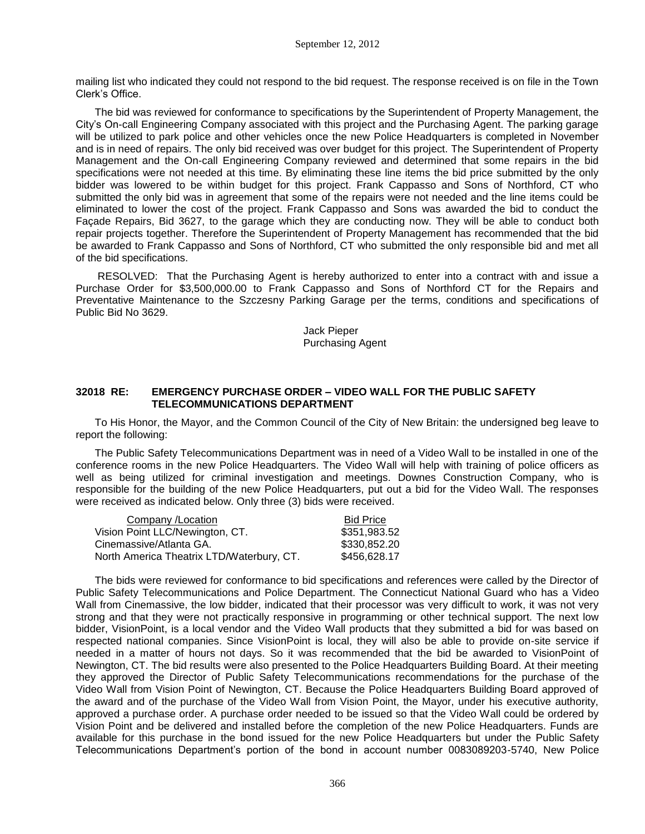mailing list who indicated they could not respond to the bid request. The response received is on file in the Town Clerk's Office.

The bid was reviewed for conformance to specifications by the Superintendent of Property Management, the City's On-call Engineering Company associated with this project and the Purchasing Agent. The parking garage will be utilized to park police and other vehicles once the new Police Headquarters is completed in November and is in need of repairs. The only bid received was over budget for this project. The Superintendent of Property Management and the On-call Engineering Company reviewed and determined that some repairs in the bid specifications were not needed at this time. By eliminating these line items the bid price submitted by the only bidder was lowered to be within budget for this project. Frank Cappasso and Sons of Northford, CT who submitted the only bid was in agreement that some of the repairs were not needed and the line items could be eliminated to lower the cost of the project. Frank Cappasso and Sons was awarded the bid to conduct the Façade Repairs, Bid 3627, to the garage which they are conducting now. They will be able to conduct both repair projects together. Therefore the Superintendent of Property Management has recommended that the bid be awarded to Frank Cappasso and Sons of Northford, CT who submitted the only responsible bid and met all of the bid specifications.

RESOLVED: That the Purchasing Agent is hereby authorized to enter into a contract with and issue a Purchase Order for \$3,500,000.00 to Frank Cappasso and Sons of Northford CT for the Repairs and Preventative Maintenance to the Szczesny Parking Garage per the terms, conditions and specifications of Public Bid No 3629.

> Jack Pieper Purchasing Agent

# **32018 RE: EMERGENCY PURCHASE ORDER – VIDEO WALL FOR THE PUBLIC SAFETY TELECOMMUNICATIONS DEPARTMENT**

To His Honor, the Mayor, and the Common Council of the City of New Britain: the undersigned beg leave to report the following:

The Public Safety Telecommunications Department was in need of a Video Wall to be installed in one of the conference rooms in the new Police Headquarters. The Video Wall will help with training of police officers as well as being utilized for criminal investigation and meetings. Downes Construction Company, who is responsible for the building of the new Police Headquarters, put out a bid for the Video Wall. The responses were received as indicated below. Only three (3) bids were received.

| Company / Location                        | <b>Bid Price</b> |
|-------------------------------------------|------------------|
| Vision Point LLC/Newington, CT.           | \$351,983.52     |
| Cinemassive/Atlanta GA.                   | \$330,852.20     |
| North America Theatrix LTD/Waterbury, CT. | \$456,628.17     |

The bids were reviewed for conformance to bid specifications and references were called by the Director of Public Safety Telecommunications and Police Department. The Connecticut National Guard who has a Video Wall from Cinemassive, the low bidder, indicated that their processor was very difficult to work, it was not very strong and that they were not practically responsive in programming or other technical support. The next low bidder, VisionPoint, is a local vendor and the Video Wall products that they submitted a bid for was based on respected national companies. Since VisionPoint is local, they will also be able to provide on-site service if needed in a matter of hours not days. So it was recommended that the bid be awarded to VisionPoint of Newington, CT. The bid results were also presented to the Police Headquarters Building Board. At their meeting they approved the Director of Public Safety Telecommunications recommendations for the purchase of the Video Wall from Vision Point of Newington, CT. Because the Police Headquarters Building Board approved of the award and of the purchase of the Video Wall from Vision Point, the Mayor, under his executive authority, approved a purchase order. A purchase order needed to be issued so that the Video Wall could be ordered by Vision Point and be delivered and installed before the completion of the new Police Headquarters. Funds are available for this purchase in the bond issued for the new Police Headquarters but under the Public Safety Telecommunications Department's portion of the bond in account number 0083089203-5740, New Police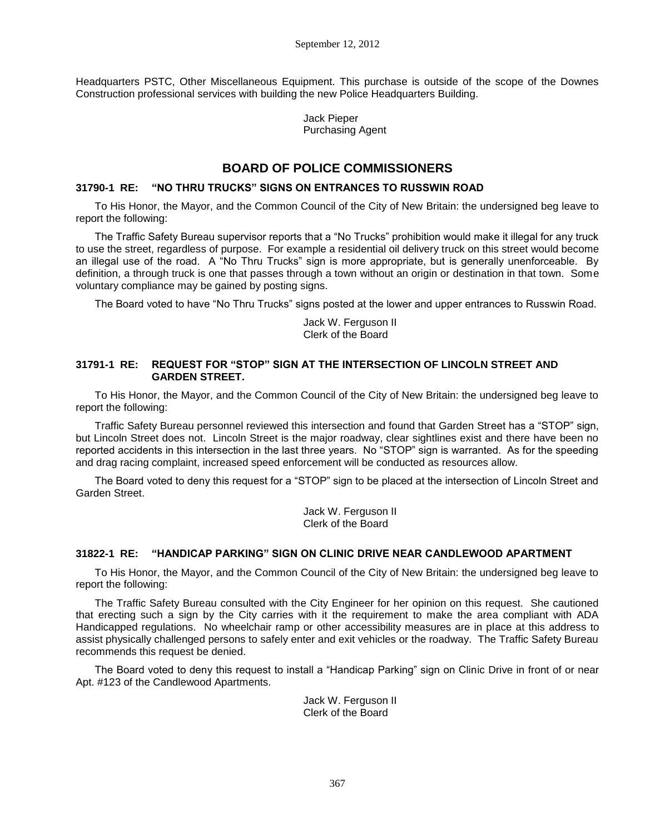Headquarters PSTC, Other Miscellaneous Equipment. This purchase is outside of the scope of the Downes Construction professional services with building the new Police Headquarters Building.

> Jack Pieper Purchasing Agent

# **BOARD OF POLICE COMMISSIONERS**

# **31790-1 RE: "NO THRU TRUCKS" SIGNS ON ENTRANCES TO RUSSWIN ROAD**

To His Honor, the Mayor, and the Common Council of the City of New Britain: the undersigned beg leave to report the following:

The Traffic Safety Bureau supervisor reports that a "No Trucks" prohibition would make it illegal for any truck to use the street, regardless of purpose. For example a residential oil delivery truck on this street would become an illegal use of the road. A "No Thru Trucks" sign is more appropriate, but is generally unenforceable. By definition, a through truck is one that passes through a town without an origin or destination in that town. Some voluntary compliance may be gained by posting signs.

The Board voted to have "No Thru Trucks" signs posted at the lower and upper entrances to Russwin Road.

Jack W. Ferguson II Clerk of the Board

# **31791-1 RE: REQUEST FOR "STOP" SIGN AT THE INTERSECTION OF LINCOLN STREET AND GARDEN STREET.**

To His Honor, the Mayor, and the Common Council of the City of New Britain: the undersigned beg leave to report the following:

Traffic Safety Bureau personnel reviewed this intersection and found that Garden Street has a "STOP" sign, but Lincoln Street does not. Lincoln Street is the major roadway, clear sightlines exist and there have been no reported accidents in this intersection in the last three years. No "STOP" sign is warranted. As for the speeding and drag racing complaint, increased speed enforcement will be conducted as resources allow.

The Board voted to deny this request for a "STOP" sign to be placed at the intersection of Lincoln Street and Garden Street.

> Jack W. Ferguson II Clerk of the Board

## **31822-1 RE: "HANDICAP PARKING" SIGN ON CLINIC DRIVE NEAR CANDLEWOOD APARTMENT**

To His Honor, the Mayor, and the Common Council of the City of New Britain: the undersigned beg leave to report the following:

The Traffic Safety Bureau consulted with the City Engineer for her opinion on this request. She cautioned that erecting such a sign by the City carries with it the requirement to make the area compliant with ADA Handicapped regulations. No wheelchair ramp or other accessibility measures are in place at this address to assist physically challenged persons to safely enter and exit vehicles or the roadway. The Traffic Safety Bureau recommends this request be denied.

The Board voted to deny this request to install a "Handicap Parking" sign on Clinic Drive in front of or near Apt. #123 of the Candlewood Apartments.

> Jack W. Ferguson II Clerk of the Board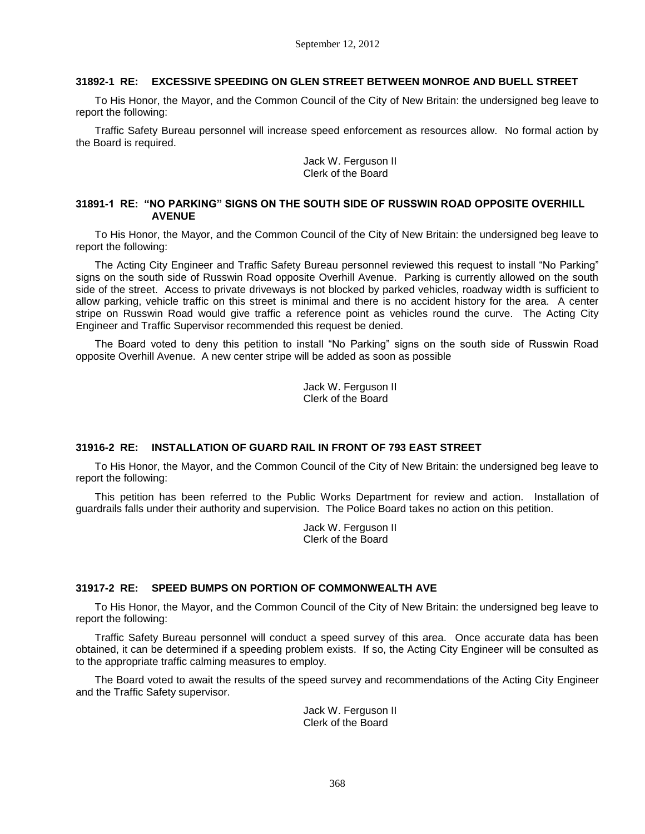# **31892-1 RE: EXCESSIVE SPEEDING ON GLEN STREET BETWEEN MONROE AND BUELL STREET**

To His Honor, the Mayor, and the Common Council of the City of New Britain: the undersigned beg leave to report the following:

Traffic Safety Bureau personnel will increase speed enforcement as resources allow. No formal action by the Board is required.

> Jack W. Ferguson II Clerk of the Board

# **31891-1 RE: "NO PARKING" SIGNS ON THE SOUTH SIDE OF RUSSWIN ROAD OPPOSITE OVERHILL AVENUE**

To His Honor, the Mayor, and the Common Council of the City of New Britain: the undersigned beg leave to report the following:

The Acting City Engineer and Traffic Safety Bureau personnel reviewed this request to install "No Parking" signs on the south side of Russwin Road opposite Overhill Avenue. Parking is currently allowed on the south side of the street. Access to private driveways is not blocked by parked vehicles, roadway width is sufficient to allow parking, vehicle traffic on this street is minimal and there is no accident history for the area. A center stripe on Russwin Road would give traffic a reference point as vehicles round the curve. The Acting City Engineer and Traffic Supervisor recommended this request be denied.

The Board voted to deny this petition to install "No Parking" signs on the south side of Russwin Road opposite Overhill Avenue. A new center stripe will be added as soon as possible

> Jack W. Ferguson II Clerk of the Board

# **31916-2 RE: INSTALLATION OF GUARD RAIL IN FRONT OF 793 EAST STREET**

To His Honor, the Mayor, and the Common Council of the City of New Britain: the undersigned beg leave to report the following:

This petition has been referred to the Public Works Department for review and action. Installation of guardrails falls under their authority and supervision. The Police Board takes no action on this petition.

> Jack W. Ferguson II Clerk of the Board

## **31917-2 RE: SPEED BUMPS ON PORTION OF COMMONWEALTH AVE**

To His Honor, the Mayor, and the Common Council of the City of New Britain: the undersigned beg leave to report the following:

Traffic Safety Bureau personnel will conduct a speed survey of this area. Once accurate data has been obtained, it can be determined if a speeding problem exists. If so, the Acting City Engineer will be consulted as to the appropriate traffic calming measures to employ.

The Board voted to await the results of the speed survey and recommendations of the Acting City Engineer and the Traffic Safety supervisor.

> Jack W. Ferguson II Clerk of the Board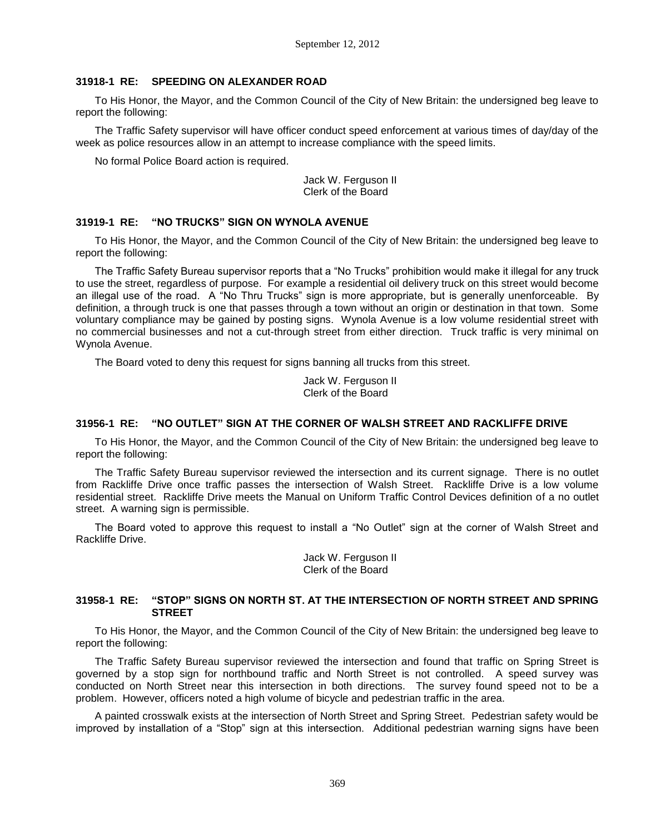# **31918-1 RE: SPEEDING ON ALEXANDER ROAD**

To His Honor, the Mayor, and the Common Council of the City of New Britain: the undersigned beg leave to report the following:

The Traffic Safety supervisor will have officer conduct speed enforcement at various times of day/day of the week as police resources allow in an attempt to increase compliance with the speed limits.

No formal Police Board action is required.

Jack W. Ferguson II Clerk of the Board

# **31919-1 RE: "NO TRUCKS" SIGN ON WYNOLA AVENUE**

To His Honor, the Mayor, and the Common Council of the City of New Britain: the undersigned beg leave to report the following:

The Traffic Safety Bureau supervisor reports that a "No Trucks" prohibition would make it illegal for any truck to use the street, regardless of purpose. For example a residential oil delivery truck on this street would become an illegal use of the road. A "No Thru Trucks" sign is more appropriate, but is generally unenforceable. By definition, a through truck is one that passes through a town without an origin or destination in that town. Some voluntary compliance may be gained by posting signs. Wynola Avenue is a low volume residential street with no commercial businesses and not a cut-through street from either direction. Truck traffic is very minimal on Wynola Avenue.

The Board voted to deny this request for signs banning all trucks from this street.

Jack W. Ferguson II Clerk of the Board

# **31956-1 RE: "NO OUTLET" SIGN AT THE CORNER OF WALSH STREET AND RACKLIFFE DRIVE**

To His Honor, the Mayor, and the Common Council of the City of New Britain: the undersigned beg leave to report the following:

The Traffic Safety Bureau supervisor reviewed the intersection and its current signage. There is no outlet from Rackliffe Drive once traffic passes the intersection of Walsh Street. Rackliffe Drive is a low volume residential street. Rackliffe Drive meets the Manual on Uniform Traffic Control Devices definition of a no outlet street. A warning sign is permissible.

The Board voted to approve this request to install a "No Outlet" sign at the corner of Walsh Street and Rackliffe Drive.

> Jack W. Ferguson II Clerk of the Board

## **31958-1 RE: "STOP" SIGNS ON NORTH ST. AT THE INTERSECTION OF NORTH STREET AND SPRING STREET**

To His Honor, the Mayor, and the Common Council of the City of New Britain: the undersigned beg leave to report the following:

The Traffic Safety Bureau supervisor reviewed the intersection and found that traffic on Spring Street is governed by a stop sign for northbound traffic and North Street is not controlled. A speed survey was conducted on North Street near this intersection in both directions. The survey found speed not to be a problem. However, officers noted a high volume of bicycle and pedestrian traffic in the area.

A painted crosswalk exists at the intersection of North Street and Spring Street. Pedestrian safety would be improved by installation of a "Stop" sign at this intersection. Additional pedestrian warning signs have been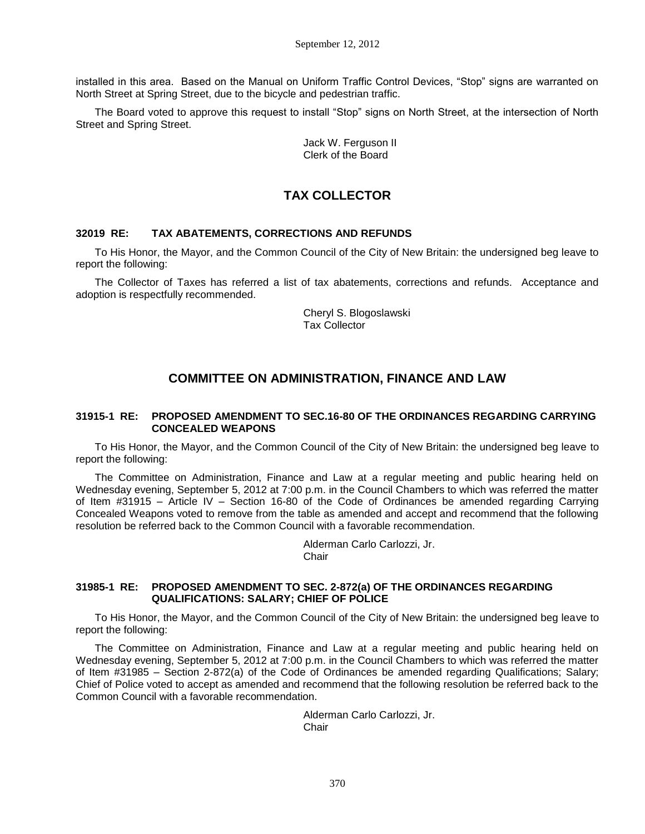installed in this area. Based on the Manual on Uniform Traffic Control Devices, "Stop" signs are warranted on North Street at Spring Street, due to the bicycle and pedestrian traffic.

The Board voted to approve this request to install "Stop" signs on North Street, at the intersection of North Street and Spring Street.

> Jack W. Ferguson II Clerk of the Board

# **TAX COLLECTOR**

#### **32019 RE: TAX ABATEMENTS, CORRECTIONS AND REFUNDS**

To His Honor, the Mayor, and the Common Council of the City of New Britain: the undersigned beg leave to report the following:

The Collector of Taxes has referred a list of tax abatements, corrections and refunds. Acceptance and adoption is respectfully recommended.

> Cheryl S. Blogoslawski Tax Collector

# **COMMITTEE ON ADMINISTRATION, FINANCE AND LAW**

## **31915-1 RE: PROPOSED AMENDMENT TO SEC.16-80 OF THE ORDINANCES REGARDING CARRYING CONCEALED WEAPONS**

To His Honor, the Mayor, and the Common Council of the City of New Britain: the undersigned beg leave to report the following:

The Committee on Administration, Finance and Law at a regular meeting and public hearing held on Wednesday evening, September 5, 2012 at 7:00 p.m. in the Council Chambers to which was referred the matter of Item #31915 – Article IV – Section 16-80 of the Code of Ordinances be amended regarding Carrying Concealed Weapons voted to remove from the table as amended and accept and recommend that the following resolution be referred back to the Common Council with a favorable recommendation.

> Alderman Carlo Carlozzi, Jr. **Chair**

#### **31985-1 RE: PROPOSED AMENDMENT TO SEC. 2-872(a) OF THE ORDINANCES REGARDING QUALIFICATIONS: SALARY; CHIEF OF POLICE**

To His Honor, the Mayor, and the Common Council of the City of New Britain: the undersigned beg leave to report the following:

The Committee on Administration, Finance and Law at a regular meeting and public hearing held on Wednesday evening, September 5, 2012 at 7:00 p.m. in the Council Chambers to which was referred the matter of Item #31985 – Section 2-872(a) of the Code of Ordinances be amended regarding Qualifications; Salary; Chief of Police voted to accept as amended and recommend that the following resolution be referred back to the Common Council with a favorable recommendation.

> Alderman Carlo Carlozzi, Jr. Chair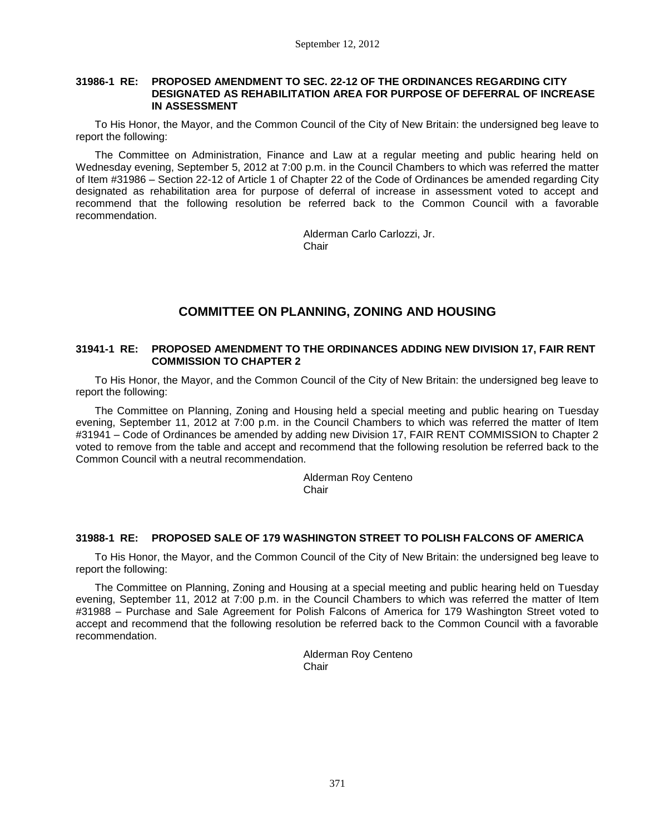## **31986-1 RE: PROPOSED AMENDMENT TO SEC. 22-12 OF THE ORDINANCES REGARDING CITY DESIGNATED AS REHABILITATION AREA FOR PURPOSE OF DEFERRAL OF INCREASE IN ASSESSMENT**

To His Honor, the Mayor, and the Common Council of the City of New Britain: the undersigned beg leave to report the following:

The Committee on Administration, Finance and Law at a regular meeting and public hearing held on Wednesday evening, September 5, 2012 at 7:00 p.m. in the Council Chambers to which was referred the matter of Item #31986 – Section 22-12 of Article 1 of Chapter 22 of the Code of Ordinances be amended regarding City designated as rehabilitation area for purpose of deferral of increase in assessment voted to accept and recommend that the following resolution be referred back to the Common Council with a favorable recommendation.

> Alderman Carlo Carlozzi, Jr. Chair

# **COMMITTEE ON PLANNING, ZONING AND HOUSING**

## **31941-1 RE: PROPOSED AMENDMENT TO THE ORDINANCES ADDING NEW DIVISION 17, FAIR RENT COMMISSION TO CHAPTER 2**

To His Honor, the Mayor, and the Common Council of the City of New Britain: the undersigned beg leave to report the following:

The Committee on Planning, Zoning and Housing held a special meeting and public hearing on Tuesday evening, September 11, 2012 at 7:00 p.m. in the Council Chambers to which was referred the matter of Item #31941 – Code of Ordinances be amended by adding new Division 17, FAIR RENT COMMISSION to Chapter 2 voted to remove from the table and accept and recommend that the following resolution be referred back to the Common Council with a neutral recommendation.

> Alderman Roy Centeno **Chair**

# **31988-1 RE: PROPOSED SALE OF 179 WASHINGTON STREET TO POLISH FALCONS OF AMERICA**

To His Honor, the Mayor, and the Common Council of the City of New Britain: the undersigned beg leave to report the following:

The Committee on Planning, Zoning and Housing at a special meeting and public hearing held on Tuesday evening, September 11, 2012 at 7:00 p.m. in the Council Chambers to which was referred the matter of Item #31988 – Purchase and Sale Agreement for Polish Falcons of America for 179 Washington Street voted to accept and recommend that the following resolution be referred back to the Common Council with a favorable recommendation.

> Alderman Roy Centeno **Chair**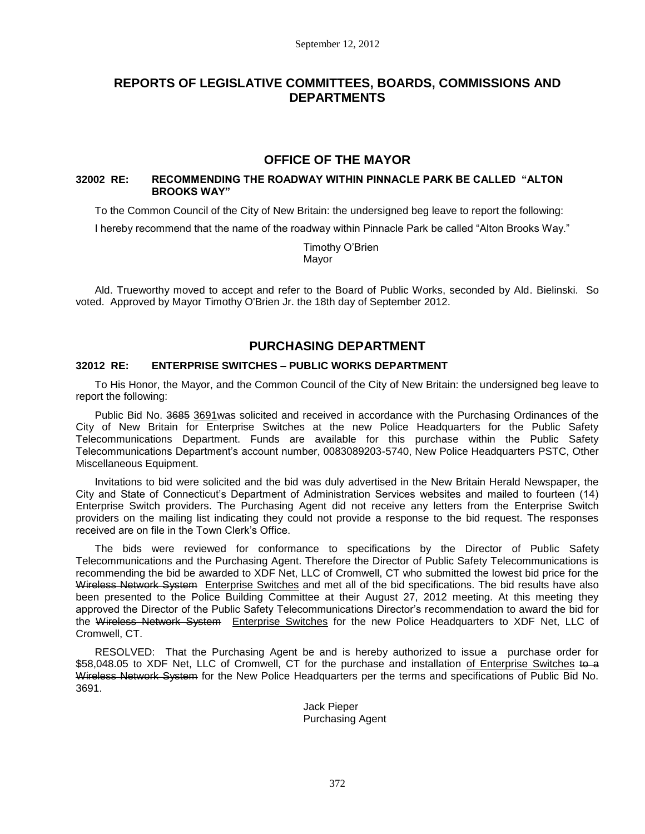# **REPORTS OF LEGISLATIVE COMMITTEES, BOARDS, COMMISSIONS AND DEPARTMENTS**

# **OFFICE OF THE MAYOR**

# **32002 RE: RECOMMENDING THE ROADWAY WITHIN PINNACLE PARK BE CALLED "ALTON BROOKS WAY"**

To the Common Council of the City of New Britain: the undersigned beg leave to report the following:

I hereby recommend that the name of the roadway within Pinnacle Park be called "Alton Brooks Way."

Timothy O'Brien Mayor

Ald. Trueworthy moved to accept and refer to the Board of Public Works, seconded by Ald. Bielinski. So voted. Approved by Mayor Timothy O'Brien Jr. the 18th day of September 2012.

# **PURCHASING DEPARTMENT**

# **32012 RE: ENTERPRISE SWITCHES – PUBLIC WORKS DEPARTMENT**

To His Honor, the Mayor, and the Common Council of the City of New Britain: the undersigned beg leave to report the following:

Public Bid No. 3685 3691was solicited and received in accordance with the Purchasing Ordinances of the City of New Britain for Enterprise Switches at the new Police Headquarters for the Public Safety Telecommunications Department. Funds are available for this purchase within the Public Safety Telecommunications Department's account number, 0083089203-5740, New Police Headquarters PSTC, Other Miscellaneous Equipment.

Invitations to bid were solicited and the bid was duly advertised in the New Britain Herald Newspaper, the City and State of Connecticut's Department of Administration Services websites and mailed to fourteen (14) Enterprise Switch providers. The Purchasing Agent did not receive any letters from the Enterprise Switch providers on the mailing list indicating they could not provide a response to the bid request. The responses received are on file in the Town Clerk's Office.

The bids were reviewed for conformance to specifications by the Director of Public Safety Telecommunications and the Purchasing Agent. Therefore the Director of Public Safety Telecommunications is recommending the bid be awarded to XDF Net, LLC of Cromwell, CT who submitted the lowest bid price for the Wireless Network System Enterprise Switches and met all of the bid specifications. The bid results have also been presented to the Police Building Committee at their August 27, 2012 meeting. At this meeting they approved the Director of the Public Safety Telecommunications Director's recommendation to award the bid for the Wireless Network System Enterprise Switches for the new Police Headquarters to XDF Net, LLC of Cromwell, CT.

RESOLVED: That the Purchasing Agent be and is hereby authorized to issue a purchase order for \$58,048.05 to XDF Net, LLC of Cromwell, CT for the purchase and installation of Enterprise Switches to a Wireless Network System for the New Police Headquarters per the terms and specifications of Public Bid No. 3691.

> Jack Pieper Purchasing Agent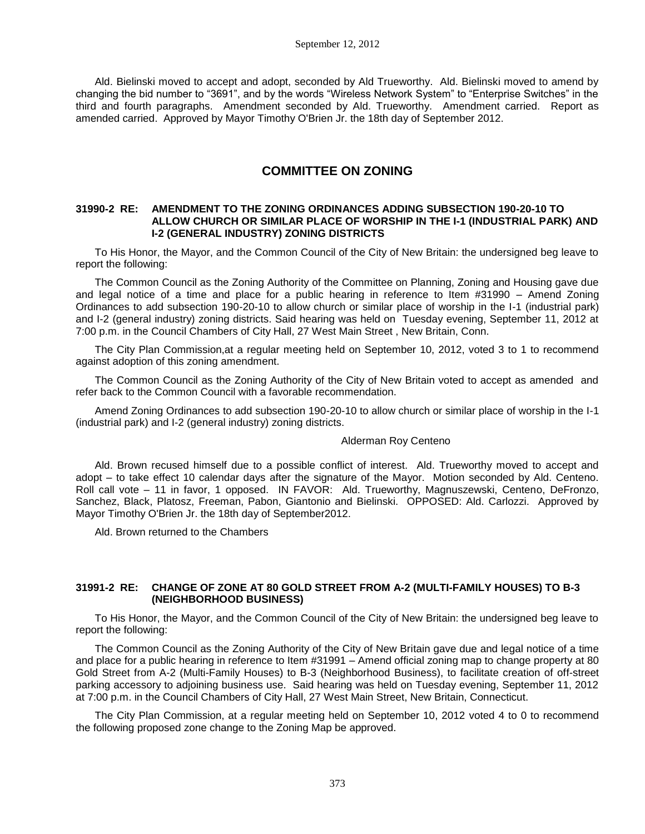Ald. Bielinski moved to accept and adopt, seconded by Ald Trueworthy. Ald. Bielinski moved to amend by changing the bid number to "3691", and by the words "Wireless Network System" to "Enterprise Switches" in the third and fourth paragraphs. Amendment seconded by Ald. Trueworthy. Amendment carried. Report as amended carried. Approved by Mayor Timothy O'Brien Jr. the 18th day of September 2012.

# **COMMITTEE ON ZONING**

#### **31990-2 RE: AMENDMENT TO THE ZONING ORDINANCES ADDING SUBSECTION 190-20-10 TO ALLOW CHURCH OR SIMILAR PLACE OF WORSHIP IN THE I-1 (INDUSTRIAL PARK) AND I-2 (GENERAL INDUSTRY) ZONING DISTRICTS**

To His Honor, the Mayor, and the Common Council of the City of New Britain: the undersigned beg leave to report the following:

The Common Council as the Zoning Authority of the Committee on Planning, Zoning and Housing gave due and legal notice of a time and place for a public hearing in reference to Item #31990 – Amend Zoning Ordinances to add subsection 190-20-10 to allow church or similar place of worship in the I-1 (industrial park) and I-2 (general industry) zoning districts. Said hearing was held on Tuesday evening, September 11, 2012 at 7:00 p.m. in the Council Chambers of City Hall, 27 West Main Street , New Britain, Conn.

The City Plan Commission,at a regular meeting held on September 10, 2012, voted 3 to 1 to recommend against adoption of this zoning amendment.

The Common Council as the Zoning Authority of the City of New Britain voted to accept as amended and refer back to the Common Council with a favorable recommendation.

Amend Zoning Ordinances to add subsection 190-20-10 to allow church or similar place of worship in the I-1 (industrial park) and I-2 (general industry) zoning districts.

#### Alderman Roy Centeno

Ald. Brown recused himself due to a possible conflict of interest. Ald. Trueworthy moved to accept and adopt – to take effect 10 calendar days after the signature of the Mayor. Motion seconded by Ald. Centeno. Roll call vote – 11 in favor, 1 opposed. IN FAVOR: Ald. Trueworthy, Magnuszewski, Centeno, DeFronzo, Sanchez, Black, Platosz, Freeman, Pabon, Giantonio and Bielinski. OPPOSED: Ald. Carlozzi. Approved by Mayor Timothy O'Brien Jr. the 18th day of September2012.

Ald. Brown returned to the Chambers

## **31991-2 RE: CHANGE OF ZONE AT 80 GOLD STREET FROM A-2 (MULTI-FAMILY HOUSES) TO B-3 (NEIGHBORHOOD BUSINESS)**

To His Honor, the Mayor, and the Common Council of the City of New Britain: the undersigned beg leave to report the following:

The Common Council as the Zoning Authority of the City of New Britain gave due and legal notice of a time and place for a public hearing in reference to Item #31991 – Amend official zoning map to change property at 80 Gold Street from A-2 (Multi-Family Houses) to B-3 (Neighborhood Business), to facilitate creation of off-street parking accessory to adjoining business use. Said hearing was held on Tuesday evening, September 11, 2012 at 7:00 p.m. in the Council Chambers of City Hall, 27 West Main Street, New Britain, Connecticut.

The City Plan Commission, at a regular meeting held on September 10, 2012 voted 4 to 0 to recommend the following proposed zone change to the Zoning Map be approved.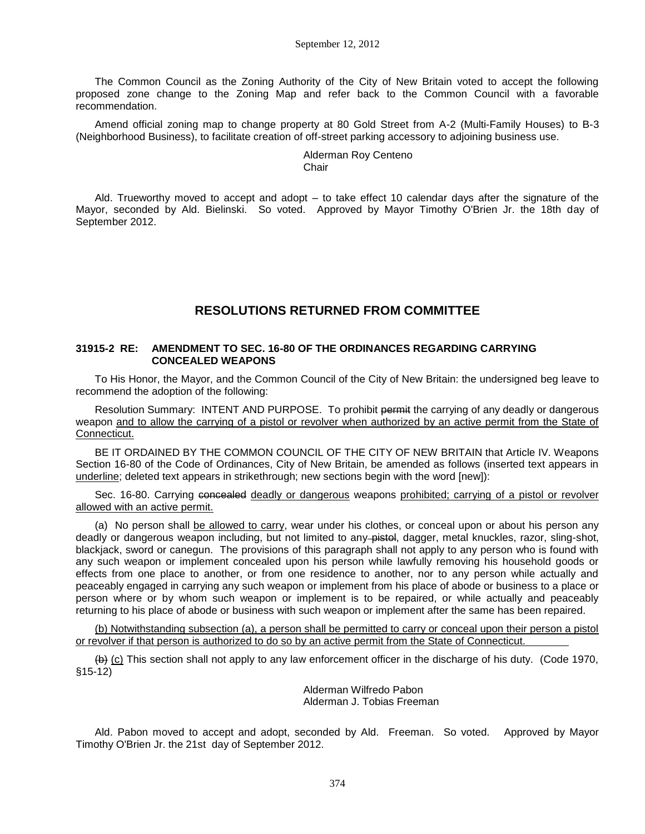The Common Council as the Zoning Authority of the City of New Britain voted to accept the following proposed zone change to the Zoning Map and refer back to the Common Council with a favorable recommendation.

Amend official zoning map to change property at 80 Gold Street from A-2 (Multi-Family Houses) to B-3 (Neighborhood Business), to facilitate creation of off-street parking accessory to adjoining business use.

#### Alderman Roy Centeno Chair

Ald. Trueworthy moved to accept and adopt – to take effect 10 calendar days after the signature of the Mayor, seconded by Ald. Bielinski. So voted. Approved by Mayor Timothy O'Brien Jr. the 18th day of September 2012.

# **RESOLUTIONS RETURNED FROM COMMITTEE**

## **31915-2 RE: AMENDMENT TO SEC. 16-80 OF THE ORDINANCES REGARDING CARRYING CONCEALED WEAPONS**

To His Honor, the Mayor, and the Common Council of the City of New Britain: the undersigned beg leave to recommend the adoption of the following:

Resolution Summary: INTENT AND PURPOSE. To prohibit permit the carrying of any deadly or dangerous weapon and to allow the carrying of a pistol or revolver when authorized by an active permit from the State of Connecticut.

BE IT ORDAINED BY THE COMMON COUNCIL OF THE CITY OF NEW BRITAIN that Article IV. Weapons Section 16-80 of the Code of Ordinances, City of New Britain, be amended as follows (inserted text appears in underline; deleted text appears in strikethrough; new sections begin with the word [new]):

Sec. 16-80. Carrying concealed deadly or dangerous weapons prohibited; carrying of a pistol or revolver allowed with an active permit.

(a) No person shall be allowed to carry, wear under his clothes, or conceal upon or about his person any deadly or dangerous weapon including, but not limited to any-pistol, dagger, metal knuckles, razor, sling-shot, blackjack, sword or canegun. The provisions of this paragraph shall not apply to any person who is found with any such weapon or implement concealed upon his person while lawfully removing his household goods or effects from one place to another, or from one residence to another, nor to any person while actually and peaceably engaged in carrying any such weapon or implement from his place of abode or business to a place or person where or by whom such weapon or implement is to be repaired, or while actually and peaceably returning to his place of abode or business with such weapon or implement after the same has been repaired.

(b) Notwithstanding subsection (a), a person shall be permitted to carry or conceal upon their person a pistol or revolver if that person is authorized to do so by an active permit from the State of Connecticut.

(b) (c) This section shall not apply to any law enforcement officer in the discharge of his duty. (Code 1970, §15-12)

> Alderman Wilfredo Pabon Alderman J. Tobias Freeman

Ald. Pabon moved to accept and adopt, seconded by Ald. Freeman. So voted. Approved by Mayor Timothy O'Brien Jr. the 21st day of September 2012.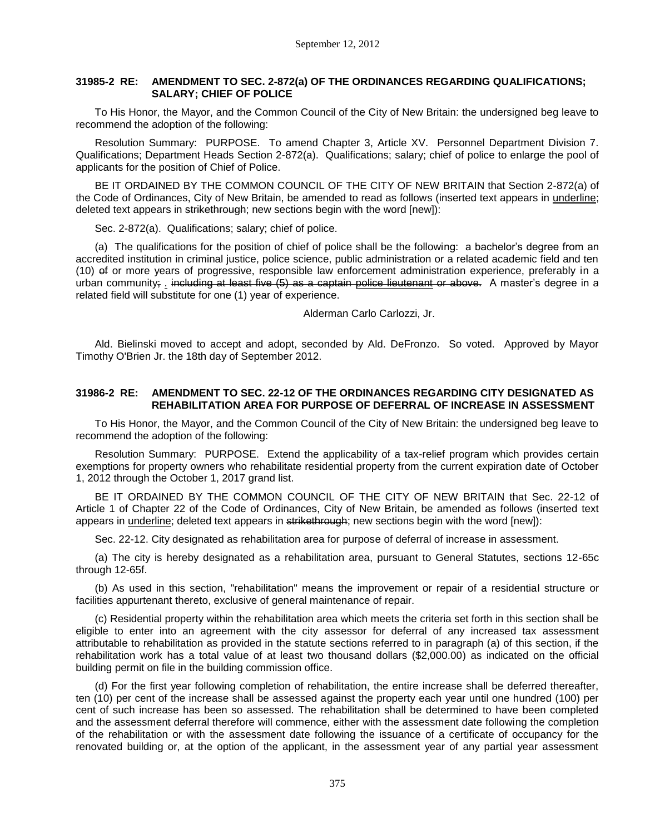# **31985-2 RE: AMENDMENT TO SEC. 2-872(a) OF THE ORDINANCES REGARDING QUALIFICATIONS; SALARY; CHIEF OF POLICE**

To His Honor, the Mayor, and the Common Council of the City of New Britain: the undersigned beg leave to recommend the adoption of the following:

Resolution Summary: PURPOSE. To amend Chapter 3, Article XV. Personnel Department Division 7. Qualifications; Department Heads Section 2-872(a). Qualifications; salary; chief of police to enlarge the pool of applicants for the position of Chief of Police.

BE IT ORDAINED BY THE COMMON COUNCIL OF THE CITY OF NEW BRITAIN that Section 2-872(a) of the Code of Ordinances, City of New Britain, be amended to read as follows (inserted text appears in underline; deleted text appears in strikethrough; new sections begin with the word [new]):

Sec. 2-872(a). Qualifications; salary; chief of police.

(a) The qualifications for the position of chief of police shall be the following: a bachelor's degree from an accredited institution in criminal justice, police science, public administration or a related academic field and ten (10) of or more years of progressive, responsible law enforcement administration experience, preferably in a urban community; . including at least five (5) as a captain police lieutenant or above. A master's degree in a related field will substitute for one (1) year of experience.

Alderman Carlo Carlozzi, Jr.

Ald. Bielinski moved to accept and adopt, seconded by Ald. DeFronzo. So voted. Approved by Mayor Timothy O'Brien Jr. the 18th day of September 2012.

# **31986-2 RE: AMENDMENT TO SEC. 22-12 OF THE ORDINANCES REGARDING CITY DESIGNATED AS REHABILITATION AREA FOR PURPOSE OF DEFERRAL OF INCREASE IN ASSESSMENT**

To His Honor, the Mayor, and the Common Council of the City of New Britain: the undersigned beg leave to recommend the adoption of the following:

Resolution Summary: PURPOSE. Extend the applicability of a tax-relief program which provides certain exemptions for property owners who rehabilitate residential property from the current expiration date of October 1, 2012 through the October 1, 2017 grand list.

BE IT ORDAINED BY THE COMMON COUNCIL OF THE CITY OF NEW BRITAIN that Sec. 22-12 of Article 1 of Chapter 22 of the Code of Ordinances, City of New Britain, be amended as follows (inserted text appears in underline; deleted text appears in strikethrough; new sections begin with the word [new]):

Sec. 22-12. City designated as rehabilitation area for purpose of deferral of increase in assessment.

(a) The city is hereby designated as a rehabilitation area, pursuant to General Statutes, sections 12-65c through 12-65f.

(b) As used in this section, "rehabilitation" means the improvement or repair of a residential structure or facilities appurtenant thereto, exclusive of general maintenance of repair.

(c) Residential property within the rehabilitation area which meets the criteria set forth in this section shall be eligible to enter into an agreement with the city assessor for deferral of any increased tax assessment attributable to rehabilitation as provided in the statute sections referred to in paragraph (a) of this section, if the rehabilitation work has a total value of at least two thousand dollars (\$2,000.00) as indicated on the official building permit on file in the building commission office.

(d) For the first year following completion of rehabilitation, the entire increase shall be deferred thereafter, ten (10) per cent of the increase shall be assessed against the property each year until one hundred (100) per cent of such increase has been so assessed. The rehabilitation shall be determined to have been completed and the assessment deferral therefore will commence, either with the assessment date following the completion of the rehabilitation or with the assessment date following the issuance of a certificate of occupancy for the renovated building or, at the option of the applicant, in the assessment year of any partial year assessment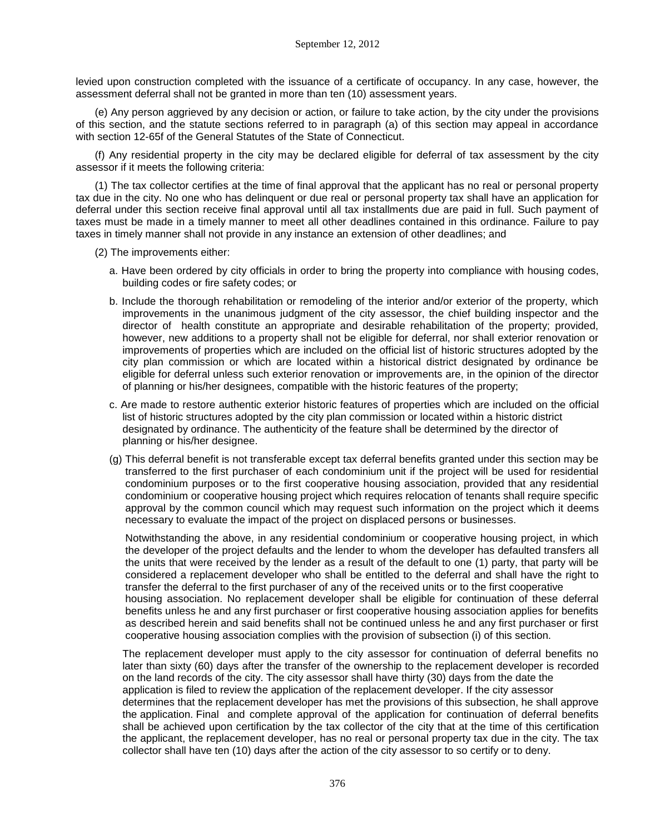levied upon construction completed with the issuance of a certificate of occupancy. In any case, however, the assessment deferral shall not be granted in more than ten (10) assessment years.

(e) Any person aggrieved by any decision or action, or failure to take action, by the city under the provisions of this section, and the statute sections referred to in paragraph (a) of this section may appeal in accordance with section 12-65f of the General Statutes of the State of Connecticut.

(f) Any residential property in the city may be declared eligible for deferral of tax assessment by the city assessor if it meets the following criteria:

(1) The tax collector certifies at the time of final approval that the applicant has no real or personal property tax due in the city. No one who has delinquent or due real or personal property tax shall have an application for deferral under this section receive final approval until all tax installments due are paid in full. Such payment of taxes must be made in a timely manner to meet all other deadlines contained in this ordinance. Failure to pay taxes in timely manner shall not provide in any instance an extension of other deadlines; and

(2) The improvements either:

- a. Have been ordered by city officials in order to bring the property into compliance with housing codes, building codes or fire safety codes; or
- b. Include the thorough rehabilitation or remodeling of the interior and/or exterior of the property, which improvements in the unanimous judgment of the city assessor, the chief building inspector and the director of health constitute an appropriate and desirable rehabilitation of the property; provided, however, new additions to a property shall not be eligible for deferral, nor shall exterior renovation or improvements of properties which are included on the official list of historic structures adopted by the city plan commission or which are located within a historical district designated by ordinance be eligible for deferral unless such exterior renovation or improvements are, in the opinion of the director of planning or his/her designees, compatible with the historic features of the property;
- c. Are made to restore authentic exterior historic features of properties which are included on the official list of historic structures adopted by the city plan commission or located within a historic district designated by ordinance. The authenticity of the feature shall be determined by the director of planning or his/her designee.
- (g) This deferral benefit is not transferable except tax deferral benefits granted under this section may be transferred to the first purchaser of each condominium unit if the project will be used for residential condominium purposes or to the first cooperative housing association, provided that any residential condominium or cooperative housing project which requires relocation of tenants shall require specific approval by the common council which may request such information on the project which it deems necessary to evaluate the impact of the project on displaced persons or businesses.

 Notwithstanding the above, in any residential condominium or cooperative housing project, in which the developer of the project defaults and the lender to whom the developer has defaulted transfers all the units that were received by the lender as a result of the default to one (1) party, that party will be considered a replacement developer who shall be entitled to the deferral and shall have the right to transfer the deferral to the first purchaser of any of the received units or to the first cooperative housing association. No replacement developer shall be eligible for continuation of these deferral benefits unless he and any first purchaser or first cooperative housing association applies for benefits as described herein and said benefits shall not be continued unless he and any first purchaser or first cooperative housing association complies with the provision of subsection (i) of this section.

 The replacement developer must apply to the city assessor for continuation of deferral benefits no later than sixty (60) days after the transfer of the ownership to the replacement developer is recorded on the land records of the city. The city assessor shall have thirty (30) days from the date the application is filed to review the application of the replacement developer. If the city assessor determines that the replacement developer has met the provisions of this subsection, he shall approve the application. Final and complete approval of the application for continuation of deferral benefits shall be achieved upon certification by the tax collector of the city that at the time of this certification the applicant, the replacement developer, has no real or personal property tax due in the city. The tax collector shall have ten (10) days after the action of the city assessor to so certify or to deny.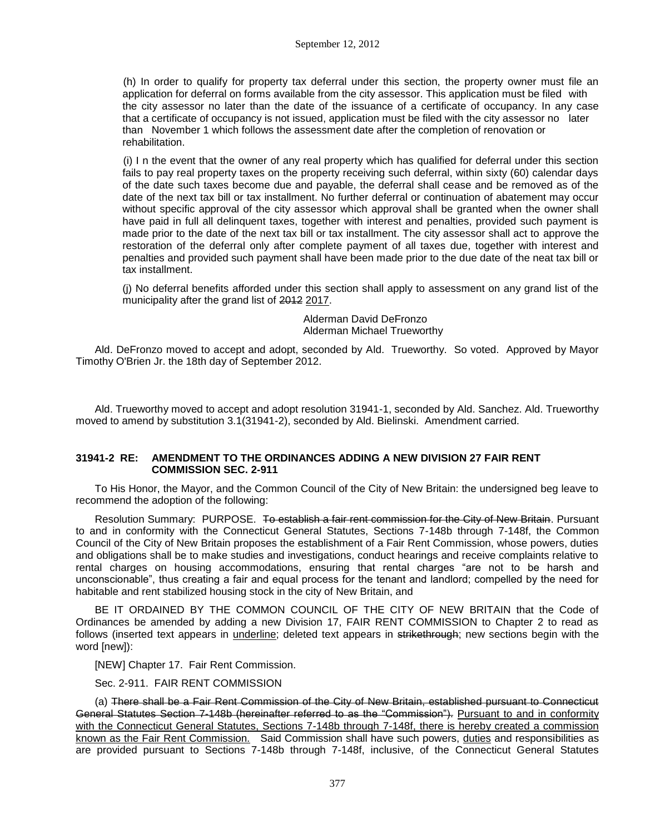(h) In order to qualify for property tax deferral under this section, the property owner must file an application for deferral on forms available from the city assessor. This application must be filed with the city assessor no later than the date of the issuance of a certificate of occupancy. In any case that a certificate of occupancy is not issued, application must be filed with the city assessor no later than November 1 which follows the assessment date after the completion of renovation or rehabilitation.

(i) I n the event that the owner of any real property which has qualified for deferral under this section fails to pay real property taxes on the property receiving such deferral, within sixty (60) calendar days of the date such taxes become due and payable, the deferral shall cease and be removed as of the date of the next tax bill or tax installment. No further deferral or continuation of abatement may occur without specific approval of the city assessor which approval shall be granted when the owner shall have paid in full all delinquent taxes, together with interest and penalties, provided such payment is made prior to the date of the next tax bill or tax installment. The city assessor shall act to approve the restoration of the deferral only after complete payment of all taxes due, together with interest and penalties and provided such payment shall have been made prior to the due date of the neat tax bill or tax installment.

 (j) No deferral benefits afforded under this section shall apply to assessment on any grand list of the municipality after the grand list of 2012 2017.

> Alderman David DeFronzo Alderman Michael Trueworthy

Ald. DeFronzo moved to accept and adopt, seconded by Ald. Trueworthy. So voted. Approved by Mayor Timothy O'Brien Jr. the 18th day of September 2012.

Ald. Trueworthy moved to accept and adopt resolution 31941-1, seconded by Ald. Sanchez. Ald. Trueworthy moved to amend by substitution 3.1(31941-2), seconded by Ald. Bielinski. Amendment carried.

# **31941-2 RE: AMENDMENT TO THE ORDINANCES ADDING A NEW DIVISION 27 FAIR RENT COMMISSION SEC. 2-911**

To His Honor, the Mayor, and the Common Council of the City of New Britain: the undersigned beg leave to recommend the adoption of the following:

Resolution Summary: PURPOSE. To establish a fair rent commission for the City of New Britain. Pursuant to and in conformity with the Connecticut General Statutes, Sections 7-148b through 7-148f, the Common Council of the City of New Britain proposes the establishment of a Fair Rent Commission, whose powers, duties and obligations shall be to make studies and investigations, conduct hearings and receive complaints relative to rental charges on housing accommodations, ensuring that rental charges "are not to be harsh and unconscionable", thus creating a fair and equal process for the tenant and landlord; compelled by the need for habitable and rent stabilized housing stock in the city of New Britain, and

BE IT ORDAINED BY THE COMMON COUNCIL OF THE CITY OF NEW BRITAIN that the Code of Ordinances be amended by adding a new Division 17, FAIR RENT COMMISSION to Chapter 2 to read as follows (inserted text appears in underline; deleted text appears in strikethrough; new sections begin with the word [new]):

[NEW] Chapter 17. Fair Rent Commission.

Sec. 2-911. FAIR RENT COMMISSION

(a) There shall be a Fair Rent Commission of the City of New Britain, established pursuant to Connecticut General Statutes Section 7-148b (hereinafter referred to as the "Commission"). Pursuant to and in conformity with the Connecticut General Statutes, Sections 7-148b through 7-148f, there is hereby created a commission known as the Fair Rent Commission. Said Commission shall have such powers, duties and responsibilities as are provided pursuant to Sections 7-148b through 7-148f, inclusive, of the Connecticut General Statutes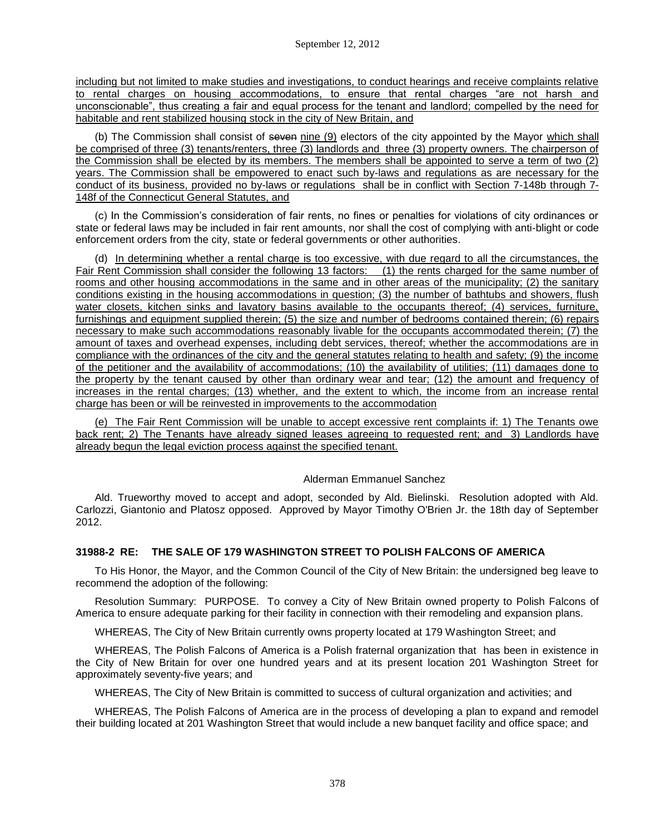including but not limited to make studies and investigations, to conduct hearings and receive complaints relative to rental charges on housing accommodations, to ensure that rental charges "are not harsh and unconscionable", thus creating a fair and equal process for the tenant and landlord; compelled by the need for habitable and rent stabilized housing stock in the city of New Britain, and

(b) The Commission shall consist of seven nine (9) electors of the city appointed by the Mayor which shall be comprised of three (3) tenants/renters, three (3) landlords and three (3) property owners. The chairperson of the Commission shall be elected by its members. The members shall be appointed to serve a term of two (2) years. The Commission shall be empowered to enact such by-laws and regulations as are necessary for the conduct of its business, provided no by-laws or regulations shall be in conflict with Section 7-148b through 7- 148f of the Connecticut General Statutes, and

(c) In the Commission's consideration of fair rents, no fines or penalties for violations of city ordinances or state or federal laws may be included in fair rent amounts, nor shall the cost of complying with anti-blight or code enforcement orders from the city, state or federal governments or other authorities.

(d) In determining whether a rental charge is too excessive, with due regard to all the circumstances, the Fair Rent Commission shall consider the following 13 factors: (1) the rents charged for the same number of rooms and other housing accommodations in the same and in other areas of the municipality; (2) the sanitary conditions existing in the housing accommodations in question; (3) the number of bathtubs and showers, flush water closets, kitchen sinks and lavatory basins available to the occupants thereof; (4) services, furniture, furnishings and equipment supplied therein; (5) the size and number of bedrooms contained therein; (6) repairs necessary to make such accommodations reasonably livable for the occupants accommodated therein; (7) the amount of taxes and overhead expenses, including debt services, thereof; whether the accommodations are in compliance with the ordinances of the city and the general statutes relating to health and safety; (9) the income of the petitioner and the availability of accommodations; (10) the availability of utilities; (11) damages done to the property by the tenant caused by other than ordinary wear and tear; (12) the amount and frequency of increases in the rental charges; (13) whether, and the extent to which, the income from an increase rental charge has been or will be reinvested in improvements to the accommodation

(e) The Fair Rent Commission will be unable to accept excessive rent complaints if: 1) The Tenants owe back rent; 2) The Tenants have already signed leases agreeing to requested rent; and 3) Landlords have already begun the legal eviction process against the specified tenant.

## Alderman Emmanuel Sanchez

Ald. Trueworthy moved to accept and adopt, seconded by Ald. Bielinski. Resolution adopted with Ald. Carlozzi, Giantonio and Platosz opposed. Approved by Mayor Timothy O'Brien Jr. the 18th day of September 2012.

# **31988-2 RE: THE SALE OF 179 WASHINGTON STREET TO POLISH FALCONS OF AMERICA**

To His Honor, the Mayor, and the Common Council of the City of New Britain: the undersigned beg leave to recommend the adoption of the following:

Resolution Summary: PURPOSE. To convey a City of New Britain owned property to Polish Falcons of America to ensure adequate parking for their facility in connection with their remodeling and expansion plans.

WHEREAS, The City of New Britain currently owns property located at 179 Washington Street; and

WHEREAS, The Polish Falcons of America is a Polish fraternal organization that has been in existence in the City of New Britain for over one hundred years and at its present location 201 Washington Street for approximately seventy-five years; and

WHEREAS, The City of New Britain is committed to success of cultural organization and activities; and

WHEREAS, The Polish Falcons of America are in the process of developing a plan to expand and remodel their building located at 201 Washington Street that would include a new banquet facility and office space; and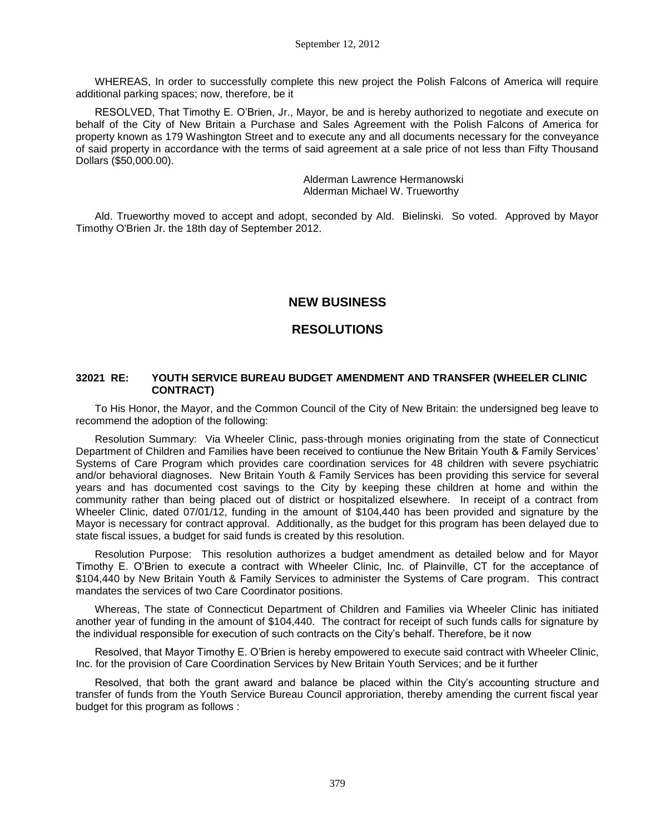WHEREAS, In order to successfully complete this new project the Polish Falcons of America will require additional parking spaces; now, therefore, be it

RESOLVED, That Timothy E. O'Brien, Jr., Mayor, be and is hereby authorized to negotiate and execute on behalf of the City of New Britain a Purchase and Sales Agreement with the Polish Falcons of America for property known as 179 Washington Street and to execute any and all documents necessary for the conveyance of said property in accordance with the terms of said agreement at a sale price of not less than Fifty Thousand Dollars (\$50,000.00).

> Alderman Lawrence Hermanowski Alderman Michael W. Trueworthy

Ald. Trueworthy moved to accept and adopt, seconded by Ald. Bielinski. So voted. Approved by Mayor Timothy O'Brien Jr. the 18th day of September 2012.

# **NEW BUSINESS**

# **RESOLUTIONS**

# **32021 RE: YOUTH SERVICE BUREAU BUDGET AMENDMENT AND TRANSFER (WHEELER CLINIC CONTRACT)**

To His Honor, the Mayor, and the Common Council of the City of New Britain: the undersigned beg leave to recommend the adoption of the following:

Resolution Summary: Via Wheeler Clinic, pass-through monies originating from the state of Connecticut Department of Children and Families have been received to contiunue the New Britain Youth & Family Services' Systems of Care Program which provides care coordination services for 48 children with severe psychiatric and/or behavioral diagnoses. New Britain Youth & Family Services has been providing this service for several years and has documented cost savings to the City by keeping these children at home and within the community rather than being placed out of district or hospitalized elsewhere. In receipt of a contract from Wheeler Clinic, dated 07/01/12, funding in the amount of \$104,440 has been provided and signature by the Mayor is necessary for contract approval. Additionally, as the budget for this program has been delayed due to state fiscal issues, a budget for said funds is created by this resolution.

Resolution Purpose: This resolution authorizes a budget amendment as detailed below and for Mayor Timothy E. O'Brien to execute a contract with Wheeler Clinic, Inc. of Plainville, CT for the acceptance of \$104,440 by New Britain Youth & Family Services to administer the Systems of Care program. This contract mandates the services of two Care Coordinator positions.

Whereas, The state of Connecticut Department of Children and Families via Wheeler Clinic has initiated another year of funding in the amount of \$104,440. The contract for receipt of such funds calls for signature by the individual responsible for execution of such contracts on the City's behalf. Therefore, be it now

Resolved, that Mayor Timothy E. O'Brien is hereby empowered to execute said contract with Wheeler Clinic, Inc. for the provision of Care Coordination Services by New Britain Youth Services; and be it further

Resolved, that both the grant award and balance be placed within the City's accounting structure and transfer of funds from the Youth Service Bureau Council approriation, thereby amending the current fiscal year budget for this program as follows :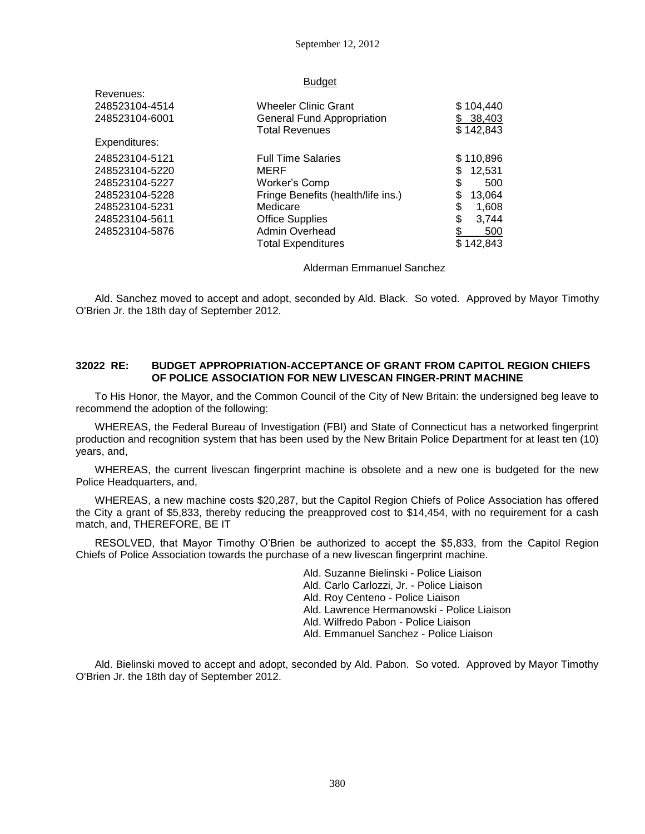#### **Budget**

| Revenues:      |                                    |               |
|----------------|------------------------------------|---------------|
| 248523104-4514 | <b>Wheeler Clinic Grant</b>        | \$104,440     |
| 248523104-6001 | <b>General Fund Appropriation</b>  | 38,403<br>\$. |
|                | <b>Total Revenues</b>              | \$142,843     |
| Expenditures:  |                                    |               |
| 248523104-5121 | <b>Full Time Salaries</b>          | \$110,896     |
| 248523104-5220 | MERF                               | \$<br>12,531  |
| 248523104-5227 | Worker's Comp                      | \$<br>500     |
| 248523104-5228 | Fringe Benefits (health/life ins.) | 13,064<br>\$  |
| 248523104-5231 | Medicare                           | \$<br>1,608   |
| 248523104-5611 | <b>Office Supplies</b>             | \$<br>3,744   |
| 248523104-5876 | Admin Overhead                     | \$<br>500     |
|                | <b>Total Expenditures</b>          | \$142.843     |

Alderman Emmanuel Sanchez

Ald. Sanchez moved to accept and adopt, seconded by Ald. Black. So voted. Approved by Mayor Timothy O'Brien Jr. the 18th day of September 2012.

# **32022 RE: BUDGET APPROPRIATION-ACCEPTANCE OF GRANT FROM CAPITOL REGION CHIEFS OF POLICE ASSOCIATION FOR NEW LIVESCAN FINGER-PRINT MACHINE**

To His Honor, the Mayor, and the Common Council of the City of New Britain: the undersigned beg leave to recommend the adoption of the following:

WHEREAS, the Federal Bureau of Investigation (FBI) and State of Connecticut has a networked fingerprint production and recognition system that has been used by the New Britain Police Department for at least ten (10) years, and,

WHEREAS, the current livescan fingerprint machine is obsolete and a new one is budgeted for the new Police Headquarters, and,

WHEREAS, a new machine costs \$20,287, but the Capitol Region Chiefs of Police Association has offered the City a grant of \$5,833, thereby reducing the preapproved cost to \$14,454, with no requirement for a cash match, and, THEREFORE, BE IT

RESOLVED, that Mayor Timothy O'Brien be authorized to accept the \$5,833, from the Capitol Region Chiefs of Police Association towards the purchase of a new livescan fingerprint machine.

> Ald. Suzanne Bielinski - Police Liaison Ald. Carlo Carlozzi, Jr. - Police Liaison Ald. Roy Centeno - Police Liaison Ald. Lawrence Hermanowski - Police Liaison Ald. Wilfredo Pabon - Police Liaison Ald. Emmanuel Sanchez - Police Liaison

Ald. Bielinski moved to accept and adopt, seconded by Ald. Pabon. So voted. Approved by Mayor Timothy O'Brien Jr. the 18th day of September 2012.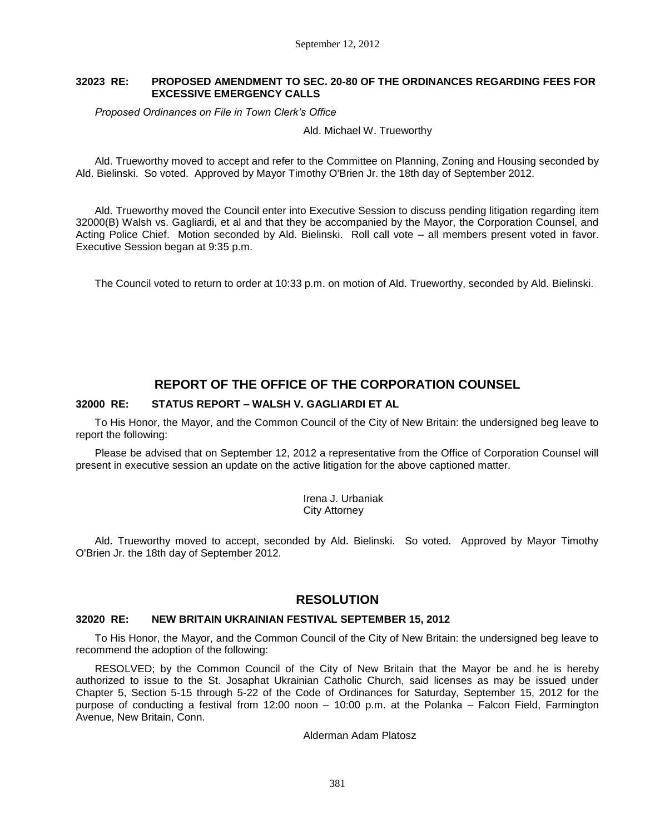# **32023 RE: PROPOSED AMENDMENT TO SEC. 20-80 OF THE ORDINANCES REGARDING FEES FOR EXCESSIVE EMERGENCY CALLS**

*Proposed Ordinances on File in Town Clerk's Office*

Ald. Michael W. Trueworthy

Ald. Trueworthy moved to accept and refer to the Committee on Planning, Zoning and Housing seconded by Ald. Bielinski. So voted. Approved by Mayor Timothy O'Brien Jr. the 18th day of September 2012.

Ald. Trueworthy moved the Council enter into Executive Session to discuss pending litigation regarding item 32000(B) Walsh vs. Gagliardi, et al and that they be accompanied by the Mayor, the Corporation Counsel, and Acting Police Chief. Motion seconded by Ald. Bielinski. Roll call vote – all members present voted in favor. Executive Session began at 9:35 p.m.

The Council voted to return to order at 10:33 p.m. on motion of Ald. Trueworthy, seconded by Ald. Bielinski.

# **REPORT OF THE OFFICE OF THE CORPORATION COUNSEL**

# **32000 RE: STATUS REPORT – WALSH V. GAGLIARDI ET AL**

To His Honor, the Mayor, and the Common Council of the City of New Britain: the undersigned beg leave to report the following:

Please be advised that on September 12, 2012 a representative from the Office of Corporation Counsel will present in executive session an update on the active litigation for the above captioned matter.

> Irena J. Urbaniak City Attorney

Ald. Trueworthy moved to accept, seconded by Ald. Bielinski. So voted. Approved by Mayor Timothy O'Brien Jr. the 18th day of September 2012.

# **RESOLUTION**

## **32020 RE: NEW BRITAIN UKRAINIAN FESTIVAL SEPTEMBER 15, 2012**

To His Honor, the Mayor, and the Common Council of the City of New Britain: the undersigned beg leave to recommend the adoption of the following:

RESOLVED; by the Common Council of the City of New Britain that the Mayor be and he is hereby authorized to issue to the St. Josaphat Ukrainian Catholic Church, said licenses as may be issued under Chapter 5, Section 5-15 through 5-22 of the Code of Ordinances for Saturday, September 15, 2012 for the purpose of conducting a festival from 12:00 noon – 10:00 p.m. at the Polanka – Falcon Field, Farmington Avenue, New Britain, Conn.

Alderman Adam Platosz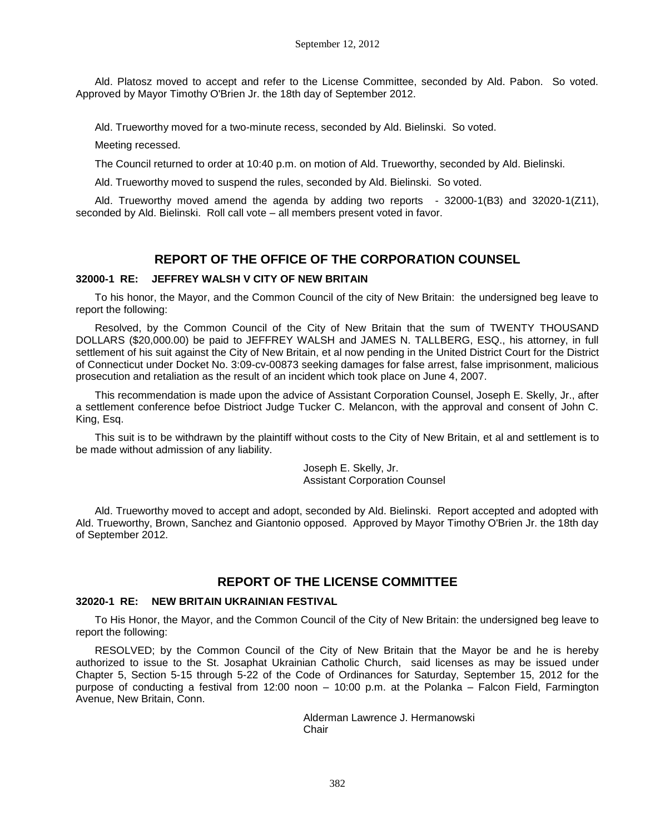September 12, 2012

Ald. Platosz moved to accept and refer to the License Committee, seconded by Ald. Pabon. So voted. Approved by Mayor Timothy O'Brien Jr. the 18th day of September 2012.

Ald. Trueworthy moved for a two-minute recess, seconded by Ald. Bielinski. So voted.

Meeting recessed.

The Council returned to order at 10:40 p.m. on motion of Ald. Trueworthy, seconded by Ald. Bielinski.

Ald. Trueworthy moved to suspend the rules, seconded by Ald. Bielinski. So voted.

Ald. Trueworthy moved amend the agenda by adding two reports - 32000-1(B3) and 32020-1(Z11), seconded by Ald. Bielinski. Roll call vote – all members present voted in favor.

# **REPORT OF THE OFFICE OF THE CORPORATION COUNSEL**

## **32000-1 RE: JEFFREY WALSH V CITY OF NEW BRITAIN**

To his honor, the Mayor, and the Common Council of the city of New Britain: the undersigned beg leave to report the following:

Resolved, by the Common Council of the City of New Britain that the sum of TWENTY THOUSAND DOLLARS (\$20,000.00) be paid to JEFFREY WALSH and JAMES N. TALLBERG, ESQ., his attorney, in full settlement of his suit against the City of New Britain, et al now pending in the United District Court for the District of Connecticut under Docket No. 3:09-cv-00873 seeking damages for false arrest, false imprisonment, malicious prosecution and retaliation as the result of an incident which took place on June 4, 2007.

This recommendation is made upon the advice of Assistant Corporation Counsel, Joseph E. Skelly, Jr., after a settlement conference befoe Distrioct Judge Tucker C. Melancon, with the approval and consent of John C. King, Esq.

This suit is to be withdrawn by the plaintiff without costs to the City of New Britain, et al and settlement is to be made without admission of any liability.

> Joseph E. Skelly, Jr. Assistant Corporation Counsel

Ald. Trueworthy moved to accept and adopt, seconded by Ald. Bielinski. Report accepted and adopted with Ald. Trueworthy, Brown, Sanchez and Giantonio opposed. Approved by Mayor Timothy O'Brien Jr. the 18th day of September 2012.

# **REPORT OF THE LICENSE COMMITTEE**

#### **32020-1 RE: NEW BRITAIN UKRAINIAN FESTIVAL**

To His Honor, the Mayor, and the Common Council of the City of New Britain: the undersigned beg leave to report the following:

RESOLVED; by the Common Council of the City of New Britain that the Mayor be and he is hereby authorized to issue to the St. Josaphat Ukrainian Catholic Church, said licenses as may be issued under Chapter 5, Section 5-15 through 5-22 of the Code of Ordinances for Saturday, September 15, 2012 for the purpose of conducting a festival from 12:00 noon – 10:00 p.m. at the Polanka – Falcon Field, Farmington Avenue, New Britain, Conn.

> Alderman Lawrence J. Hermanowski Chair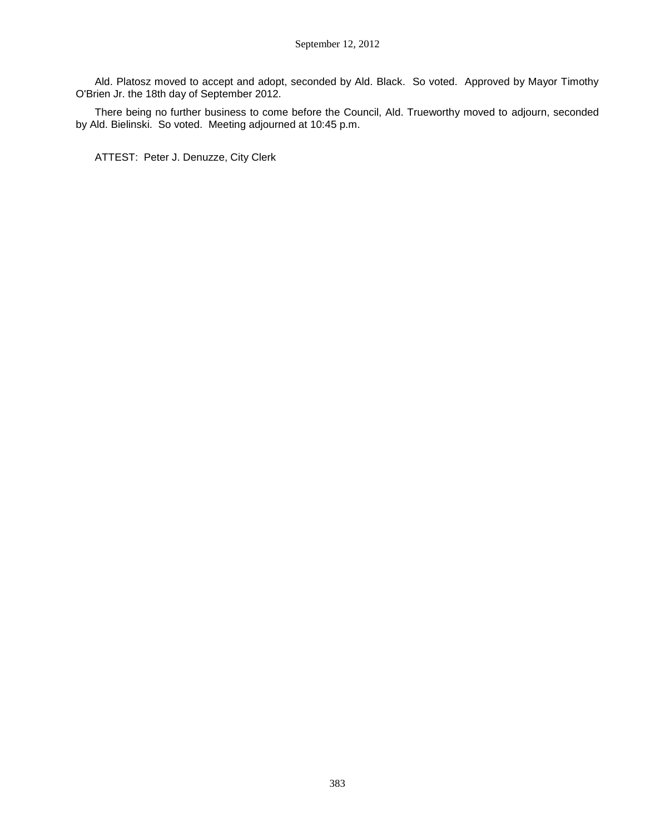Ald. Platosz moved to accept and adopt, seconded by Ald. Black. So voted. Approved by Mayor Timothy O'Brien Jr. the 18th day of September 2012.

There being no further business to come before the Council, Ald. Trueworthy moved to adjourn, seconded by Ald. Bielinski. So voted. Meeting adjourned at 10:45 p.m.

ATTEST: Peter J. Denuzze, City Clerk